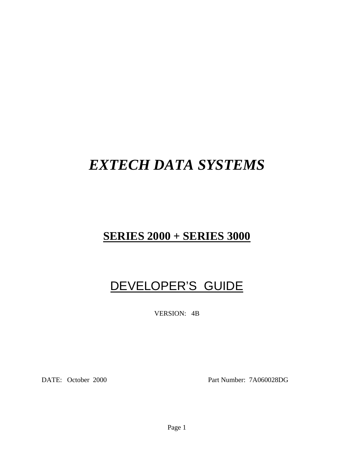# *EXTECH DATA SYSTEMS*

# **SERIES 2000 + SERIES 3000**

# DEVELOPER'S GUIDE

VERSION: 4B

DATE: October 2000 Part Number: 7A060028DG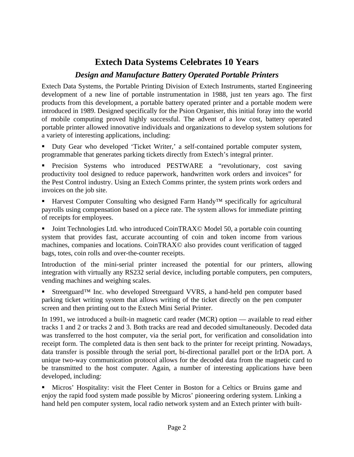### **Extech Data Systems Celebrates 10 Years**

### *Design and Manufacture Battery Operated Portable Printers*

Extech Data Systems, the Portable Printing Division of Extech Instruments, started Engineering development of a new line of portable instrumentation in 1988, just ten years ago. The first products from this development, a portable battery operated printer and a portable modem were introduced in 1989. Designed specifically for the Psion Organiser, this initial foray into the world of mobile computing proved highly successful. The advent of a low cost, battery operated portable printer allowed innovative individuals and organizations to develop system solutions for a variety of interesting applications, including:

ß Duty Gear who developed 'Ticket Writer,' a self-contained portable computer system, programmable that generates parking tickets directly from Extech's integral printer.

ß Precision Systems who introduced PESTWARE a "revolutionary, cost saving productivity tool designed to reduce paperwork, handwritten work orders and invoices" for the Pest Control industry. Using an Extech Comms printer, the system prints work orders and invoices on the job site.

Harvest Computer Consulting who designed Farm Handy™ specifically for agricultural payrolls using compensation based on a piece rate. The system allows for immediate printing of receipts for employees.

ß Joint Technologies Ltd. who introduced CoinTRAX© Model 50, a portable coin counting system that provides fast, accurate accounting of coin and token income from various machines, companies and locations. CoinTRAX© also provides count verification of tagged bags, totes, coin rolls and over-the-counter receipts.

Introduction of the mini-serial printer increased the potential for our printers, allowing integration with virtually any RS232 serial device, including portable computers, pen computers, vending machines and weighing scales.

ß Streetguard™ Inc. who developed Streetguard VVRS, a hand-held pen computer based parking ticket writing system that allows writing of the ticket directly on the pen computer screen and then printing out to the Extech Mini Serial Printer.

In 1991, we introduced a built-in magnetic card reader (MCR) option — available to read either tracks 1 and 2 or tracks 2 and 3. Both tracks are read and decoded simultaneously. Decoded data was transferred to the host computer, via the serial port, for verification and consolidation into receipt form. The completed data is then sent back to the printer for receipt printing. Nowadays, data transfer is possible through the serial port, bi-directional parallel port or the IrDA port. A unique two-way communication protocol allows for the decoded data from the magnetic card to be transmitted to the host computer. Again, a number of interesting applications have been developed, including:

ß Micros' Hospitality: visit the Fleet Center in Boston for a Celtics or Bruins game and enjoy the rapid food system made possible by Micros' pioneering ordering system. Linking a hand held pen computer system, local radio network system and an Extech printer with built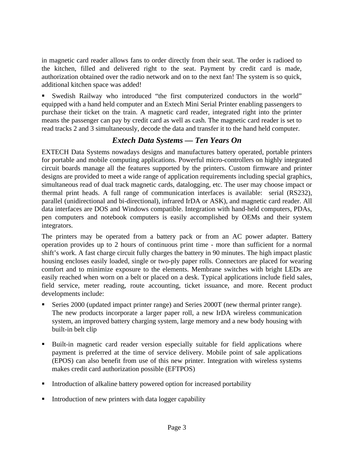in magnetic card reader allows fans to order directly from their seat. The order is radioed to the kitchen, filled and delivered right to the seat. Payment by credit card is made, authorization obtained over the radio network and on to the next fan! The system is so quick, additional kitchen space was added!

ß Swedish Railway who introduced "the first computerized conductors in the world" equipped with a hand held computer and an Extech Mini Serial Printer enabling passengers to purchase their ticket on the train. A magnetic card reader, integrated right into the printer means the passenger can pay by credit card as well as cash. The magnetic card reader is set to read tracks 2 and 3 simultaneously, decode the data and transfer it to the hand held computer.

### *Extech Data Systems — Ten Years On*

EXTECH Data Systems nowadays designs and manufactures battery operated, portable printers for portable and mobile computing applications. Powerful micro-controllers on highly integrated circuit boards manage all the features supported by the printers. Custom firmware and printer designs are provided to meet a wide range of application requirements including special graphics, simultaneous read of dual track magnetic cards, datalogging, etc. The user may choose impact or thermal print heads. A full range of communication interfaces is available: serial (RS232), parallel (unidirectional and bi-directional), infrared IrDA or ASK), and magnetic card reader. All data interfaces are DOS and Windows compatible. Integration with hand-held computers, PDAs, pen computers and notebook computers is easily accomplished by OEMs and their system integrators.

The printers may be operated from a battery pack or from an AC power adapter. Battery operation provides up to 2 hours of continuous print time - more than sufficient for a normal shift's work. A fast charge circuit fully charges the battery in 90 minutes. The high impact plastic housing encloses easily loaded, single or two-ply paper rolls. Connectors are placed for wearing comfort and to minimize exposure to the elements. Membrane switches with bright LEDs are easily reached when worn on a belt or placed on a desk. Typical applications include field sales, field service, meter reading, route accounting, ticket issuance, and more. Recent product developments include:

- ß Series 2000 (updated impact printer range) and Series 2000T (new thermal printer range). The new products incorporate a larger paper roll, a new IrDA wireless communication system, an improved battery charging system, large memory and a new body housing with built-in belt clip
- ß Built-in magnetic card reader version especially suitable for field applications where payment is preferred at the time of service delivery. Mobile point of sale applications (EPOS) can also benefit from use of this new printer. Integration with wireless systems makes credit card authorization possible (EFTPOS)
- ß Introduction of alkaline battery powered option for increased portability
- ß Introduction of new printers with data logger capability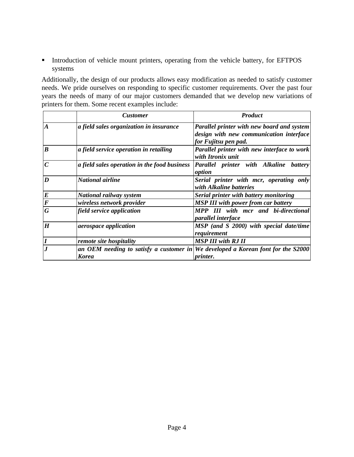Introduction of vehicle mount printers, operating from the vehicle battery, for EFTPOS systems

Additionally, the design of our products allows easy modification as needed to satisfy customer needs. We pride ourselves on responding to specific customer requirements. Over the past four years the needs of many of our major customers demanded that we develop new variations of printers for them. Some recent examples include:

|                  | <b>Customer</b>                              | <b>Product</b>                                                                                                       |
|------------------|----------------------------------------------|----------------------------------------------------------------------------------------------------------------------|
| $\boldsymbol{A}$ | a field sales organization in insurance      | <b>Parallel printer with new board and system</b><br>design with new communication interface<br>for Fujitsu pen pad. |
| $\boldsymbol{B}$ | a field service operation in retailing       | Parallel printer with new interface to work<br>with Itronix unit                                                     |
| $\boldsymbol{C}$ | a field sales operation in the food business | Parallel printer with Alkaline battery<br>option                                                                     |
| $\boldsymbol{D}$ | <b>National airline</b>                      | Serial printer with mcr, operating only<br>with Alkaline batteries                                                   |
| $\boldsymbol{E}$ | National railway system                      | Serial printer with battery monitoring                                                                               |
| $\bm{F}$         | wireless network provider                    | <b>MSP III with power from car battery</b>                                                                           |
| G                | field service application                    | MPP III with mcr and bi-directional<br>parallel interface                                                            |
| H                | <i>aerospace application</i>                 | MSP (and S 2000) with special date/time<br>requirement                                                               |
| $\boldsymbol{I}$ | remote site hospitality                      | <b>MSP III with RJ II</b>                                                                                            |
|                  | <b>Korea</b>                                 | an OEM needing to satisfy a customer in We developed a Korean font for the S2000<br><i>printer.</i>                  |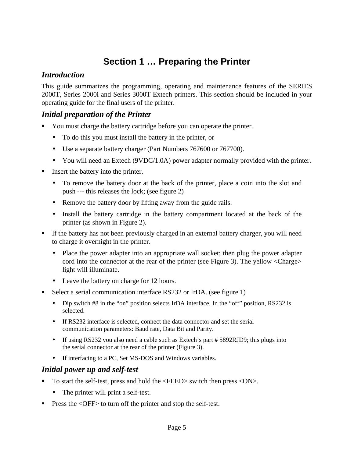### **Section 1 … Preparing the Printer**

### *Introduction*

This guide summarizes the programming, operating and maintenance features of the SERIES 2000T, Series 2000i and Series 3000T Extech printers. This section should be included in your operating guide for the final users of the printer.

### *Initial preparation of the Printer*

- You must charge the battery cartridge before you can operate the printer.
	- To do this you must install the battery in the printer, or
	- Use a separate battery charger (Part Numbers 767600 or 767700).
	- You will need an Extech (9VDC/1.0A) power adapter normally provided with the printer.
- ß Insert the battery into the printer.
	- To remove the battery door at the back of the printer, place a coin into the slot and push --- this releases the lock; (see figure 2)
	- Remove the battery door by lifting away from the guide rails.
	- Install the battery cartridge in the battery compartment located at the back of the printer (as shown in Figure 2).
- If the battery has not been previously charged in an external battery charger, you will need to charge it overnight in the printer.
	- Place the power adapter into an appropriate wall socket; then plug the power adapter cord into the connector at the rear of the printer (see Figure 3). The yellow <Charge> light will illuminate.
	- Leave the battery on charge for 12 hours.
- Select a serial communication interface RS232 or IrDA. (see figure 1)
	- Dip switch #8 in the "on" position selects IrDA interface. In the "off" position, RS232 is selected.
	- If RS232 interface is selected, connect the data connector and set the serial communication parameters: Baud rate, Data Bit and Parity.
	- If using RS232 you also need a cable such as Extech's part #5892RJD9; this plugs into the serial connector at the rear of the printer (Figure 3).
	- If interfacing to a PC, Set MS-DOS and Windows variables.

### *Initial power up and self-test*

- ß To start the self-test, press and hold the <FEED> switch then press <ON>.
	- The printer will print a self-test.
- ß Press the <OFF> to turn off the printer and stop the self-test.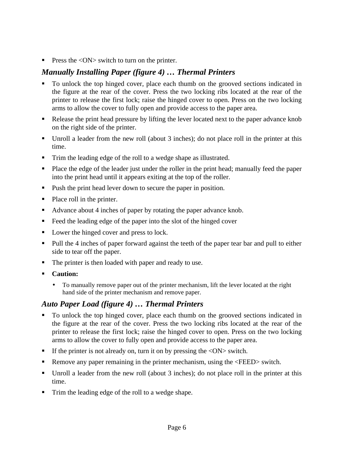**Press the**  $\langle ON \rangle$  **switch to turn on the printer.** 

### *Manually Installing Paper (figure 4) … Thermal Printers*

- ß To unlock the top hinged cover, place each thumb on the grooved sections indicated in the figure at the rear of the cover. Press the two locking ribs located at the rear of the printer to release the first lock; raise the hinged cover to open. Press on the two locking arms to allow the cover to fully open and provide access to the paper area.
- Release the print head pressure by lifting the lever located next to the paper advance knob on the right side of the printer.
- $\blacksquare$  Unroll a leader from the new roll (about 3 inches); do not place roll in the printer at this time.
- ß Trim the leading edge of the roll to a wedge shape as illustrated.
- ß Place the edge of the leader just under the roller in the print head; manually feed the paper into the print head until it appears exiting at the top of the roller.
- Push the print head lever down to secure the paper in position.
- $\blacksquare$  Place roll in the printer.
- Advance about 4 inches of paper by rotating the paper advance knob.
- Feed the leading edge of the paper into the slot of the hinged cover
- Lower the hinged cover and press to lock.
- Pull the 4 inches of paper forward against the teeth of the paper tear bar and pull to either side to tear off the paper.
- The printer is then loaded with paper and ready to use.
- ß **Caution:**
	- To manually remove paper out of the printer mechanism, lift the lever located at the right hand side of the printer mechanism and remove paper.

### *Auto Paper Load (figure 4) … Thermal Printers*

- ß To unlock the top hinged cover, place each thumb on the grooved sections indicated in the figure at the rear of the cover. Press the two locking ribs located at the rear of the printer to release the first lock; raise the hinged cover to open. Press on the two locking arms to allow the cover to fully open and provide access to the paper area.
- If the printer is not already on, turn it on by pressing the  $\langle ON \rangle$  switch.
- ß Remove any paper remaining in the printer mechanism, using the <FEED> switch.
- Unroll a leader from the new roll (about 3 inches); do not place roll in the printer at this time.
- Trim the leading edge of the roll to a wedge shape.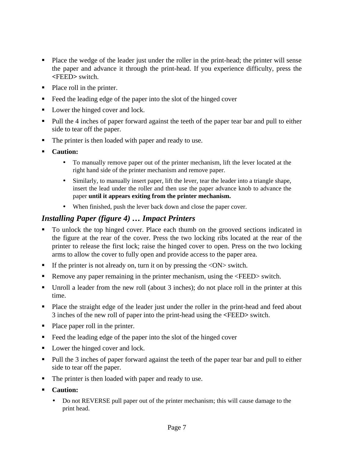- Place the wedge of the leader just under the roller in the print-head; the printer will sense the paper and advance it through the print-head. If you experience difficulty, press the **<**FEED**>** switch.
- $\blacksquare$  Place roll in the printer.
- $\blacksquare$  Feed the leading edge of the paper into the slot of the hinged cover
- Lower the hinged cover and lock.
- Pull the 4 inches of paper forward against the teeth of the paper tear bar and pull to either side to tear off the paper.
- The printer is then loaded with paper and ready to use.
- ß **Caution:**
	- To manually remove paper out of the printer mechanism, lift the lever located at the right hand side of the printer mechanism and remove paper.
	- Similarly, to manually insert paper, lift the lever, tear the leader into a triangle shape, insert the lead under the roller and then use the paper advance knob to advance the paper **until it appears exiting from the printer mechanism.**
	- When finished, push the lever back down and close the paper cover.

### *Installing Paper (figure 4) … Impact Printers*

- ß To unlock the top hinged cover. Place each thumb on the grooved sections indicated in the figure at the rear of the cover. Press the two locking ribs located at the rear of the printer to release the first lock; raise the hinged cover to open. Press on the two locking arms to allow the cover to fully open and provide access to the paper area.
- If the printer is not already on, turn it on by pressing the  $\langle ON \rangle$  switch.
- ß Remove any paper remaining in the printer mechanism, using the <FEED> switch.
- Unroll a leader from the new roll (about 3 inches); do not place roll in the printer at this time.
- Place the straight edge of the leader just under the roller in the print-head and feed about 3 inches of the new roll of paper into the print-head using the **<**FEED**>** switch.
- Place paper roll in the printer.
- $\blacksquare$  Feed the leading edge of the paper into the slot of the hinged cover
- Lower the hinged cover and lock.
- Pull the 3 inches of paper forward against the teeth of the paper tear bar and pull to either side to tear off the paper.
- The printer is then loaded with paper and ready to use.
- **ß Caution:**
	- Do not REVERSE pull paper out of the printer mechanism; this will cause damage to the print head.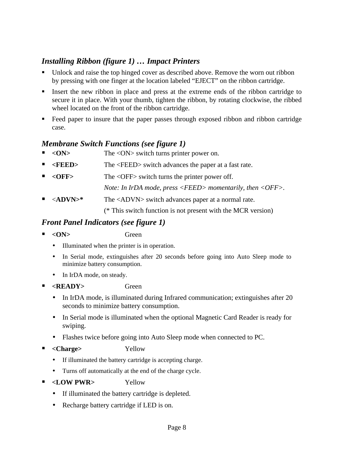### *Installing Ribbon (figure 1) … Impact Printers*

- ß Unlock and raise the top hinged cover as described above. Remove the worn out ribbon by pressing with one finger at the location labeled "EJECT" on the ribbon cartridge.
- Insert the new ribbon in place and press at the extreme ends of the ribbon cartridge to secure it in place. With your thumb, tighten the ribbon, by rotating clockwise, the ribbed wheel located on the front of the ribbon cartridge.
- **Feed paper to insure that the paper passes through exposed ribbon and ribbon cartridge** case.

### *Membrane Switch Functions (see figure 1)*

- ß **<ON>** The <ON> switch turns printer power on.
- ß **<FEED>** The <FEED> switch advances the paper at a fast rate.
- **ß <OFF>** The <OFF> switch turns the printer power off.
	- *Note: In IrDA mode, press <FEED> momentarily, then <OFF>.*
- **ß** <**ADVN>\*** The <ADVN> switch advances paper at a normal rate.

(\* This switch function is not present with the MCR version)

### *Front Panel Indicators (see figure 1)*

- ß **<ON>** Green
	- Illuminated when the printer is in operation.
	- In Serial mode, extinguishes after 20 seconds before going into Auto Sleep mode to minimize battery consumption.
	- In IrDA mode, on steady.
- ß **<READY>** Green
	- In IrDA mode, is illuminated during Infrared communication; extinguishes after 20 seconds to minimize battery consumption.
	- In Serial mode is illuminated when the optional Magnetic Card Reader is ready for swiping.
	- Flashes twice before going into Auto Sleep mode when connected to PC.
- ß **<Charge>** Yellow
	- If illuminated the battery cartridge is accepting charge.
	- Turns off automatically at the end of the charge cycle.
- **Example 2 SHOW PWR>** Yellow
	- If illuminated the battery cartridge is depleted.
	- Recharge battery cartridge if LED is on.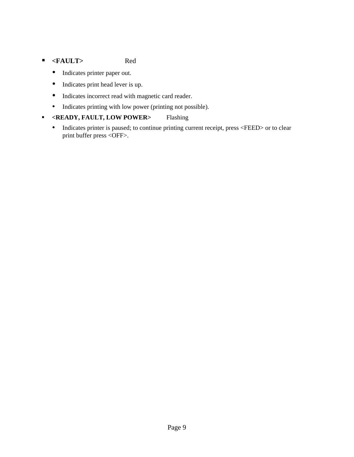### ß **<FAULT>** Red

- Indicates printer paper out.
- Indicates print head lever is up.
- Indicates incorrect read with magnetic card reader.
- Indicates printing with low power (printing not possible).

#### ß **<READY, FAULT, LOW POWER>** Flashing

• Indicates printer is paused; to continue printing current receipt, press <FEED> or to clear print buffer press <OFF>.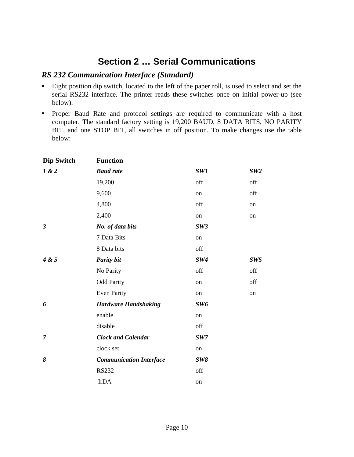### **Section 2 … Serial Communications**

### *RS 232 Communication Interface (Standard)*

- **Eight position dip switch, located to the left of the paper roll, is used to select and set the** serial RS232 interface. The printer reads these switches once on initial power-up (see below).
- ß Proper Baud Rate and protocol settings are required to communicate with a host computer. The standard factory setting is 19,200 BAUD, 8 DATA BITS, NO PARITY BIT, and one STOP BIT, all switches in off position. To make changes use the table below:

| <b>Dip Switch</b> | <b>Function</b>                |     |                 |
|-------------------|--------------------------------|-----|-----------------|
| 1 & 2             | <b>Baud rate</b>               | SW1 | SW2             |
|                   | 19,200                         | off | off             |
|                   | 9,600                          | on  | off             |
|                   | 4,800                          | off | on              |
|                   | 2,400                          | on  | on              |
| $\mathfrak{z}$    | No. of data bits               | SW3 |                 |
|                   | 7 Data Bits                    | on  |                 |
|                   | 8 Data bits                    | off |                 |
| 4 & 5             | <b>Parity bit</b>              | SW4 | SW <sub>5</sub> |
|                   | No Parity                      | off | off             |
|                   | <b>Odd Parity</b>              | on  | off             |
|                   | <b>Even Parity</b>             | on  | on              |
| 6                 | <b>Hardware Handshaking</b>    | SW6 |                 |
|                   | enable                         | on  |                 |
|                   | disable                        | off |                 |
| $\overline{7}$    | <b>Clock and Calendar</b>      | SW7 |                 |
|                   | clock set                      | on  |                 |
| 8                 | <b>Communication Interface</b> | SW8 |                 |
|                   | <b>RS232</b>                   | off |                 |
|                   | <b>IrDA</b>                    | on  |                 |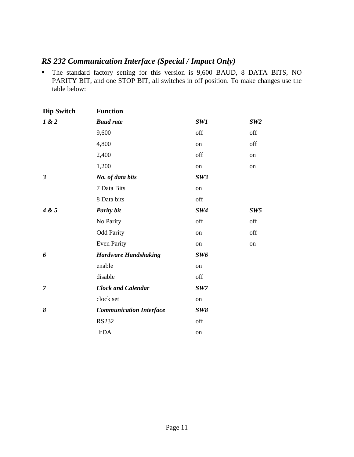### *RS 232 Communication Interface (Special / Impact Only)*

ß The standard factory setting for this version is 9,600 BAUD, 8 DATA BITS, NO PARITY BIT, and one STOP BIT, all switches in off position. To make changes use the table below:

| <b>Dip Switch</b>    | <b>Function</b>                |     |     |
|----------------------|--------------------------------|-----|-----|
| 1 & 2                | <b>Baud</b> rate               | SW1 | SW2 |
|                      | 9,600                          | off | off |
|                      | 4,800                          | on  | off |
|                      | 2,400                          | off | on  |
|                      | 1,200                          | on  | on  |
| $\boldsymbol{\beta}$ | No. of data bits               | SW3 |     |
|                      | 7 Data Bits                    | on  |     |
|                      | 8 Data bits                    | off |     |
| 4 & 5                | <b>Parity bit</b>              | SW4 | SW5 |
|                      | No Parity                      | off | off |
|                      | <b>Odd Parity</b>              | on  | off |
|                      | <b>Even Parity</b>             | on  | on  |
| 6                    | <b>Hardware Handshaking</b>    | SW6 |     |
|                      | enable                         | on  |     |
|                      | disable                        | off |     |
| $\overline{7}$       | <b>Clock and Calendar</b>      | SW7 |     |
|                      | clock set                      | on  |     |
| 8                    | <b>Communication Interface</b> | SW8 |     |
|                      | <b>RS232</b>                   | off |     |
|                      | <b>IrDA</b>                    | on  |     |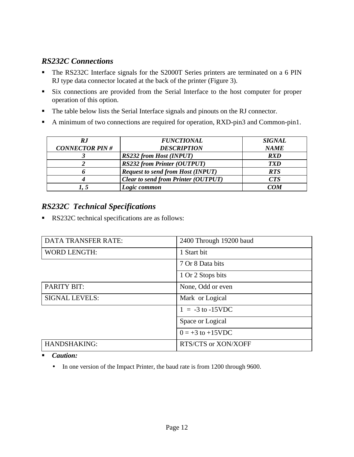### *RS232C Connections*

- The RS232C Interface signals for the S2000T Series printers are terminated on a 6 PIN RJ type data connector located at the back of the printer (Figure 3).
- **Six connections are provided from the Serial Interface to the host computer for proper** operation of this option.
- The table below lists the Serial Interface signals and pinouts on the RJ connector.
- A minimum of two connections are required for operation, RXD-pin3 and Common-pin1.

| R.J                   | <b>FUNCTIONAL</b>                          | <b>SIGNAL</b> |
|-----------------------|--------------------------------------------|---------------|
| <b>CONNECTOR PIN#</b> | <b>DESCRIPTION</b>                         | <b>NAME</b>   |
|                       | <b>RS232 from Host (INPUT)</b>             | <b>RXD</b>    |
|                       | <b>RS232 from Printer (OUTPUT)</b>         | <b>TXD</b>    |
|                       | <b>Request to send from Host (INPUT)</b>   | <b>RTS</b>    |
|                       | <b>Clear to send from Printer (OUTPUT)</b> | <b>CTS</b>    |
|                       | Logic common                               | COM           |

### *RS232C Technical Specifications*

RS232C technical specifications are as follows:

| <b>DATA TRANSFER RATE:</b> | 2400 Through 19200 baud |
|----------------------------|-------------------------|
| <b>WORD LENGTH:</b>        | 1 Start bit             |
|                            | 7 Or 8 Data bits        |
|                            | 1 Or 2 Stops bits       |
| <b>PARITY BIT:</b>         | None, Odd or even       |
| <b>SIGNAL LEVELS:</b>      | Mark or Logical         |
|                            | $1 = -3$ to $-15$ VDC   |
|                            | Space or Logical        |
|                            | $0 = +3$ to +15VDC      |
| <b>HANDSHAKING:</b>        | RTS/CTS or XON/XOFF     |

ß *Caution:*

• In one version of the Impact Printer, the baud rate is from 1200 through 9600.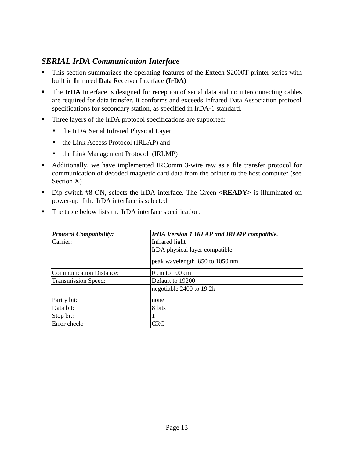### *SERIAL IrDA Communication Interface*

- This section summarizes the operating features of the Extech S2000T printer series with built in **I**nfra**r**ed **D**ata Receiver Interface **(IrDA)**
- **The IrDA** Interface is designed for reception of serial data and no interconnecting cables are required for data transfer. It conforms and exceeds Infrared Data Association protocol specifications for secondary station, as specified in IrDA-1 standard.
- Three layers of the IrDA protocol specifications are supported:
	- the IrDA Serial Infrared Physical Layer
	- the Link Access Protocol (IRLAP) and
	- the Link Management Protocol (IRLMP)
- Additionally, we have implemented IRComm 3-wire raw as a file transfer protocol for communication of decoded magnetic card data from the printer to the host computer (see Section X)
- **Dip switch #8 ON, selects the IrDA interface. The Green <<b>READY**> is illuminated on power-up if the IrDA interface is selected.

| <b>Protocol Compatibility:</b> | IrDA Version 1 IRLAP and IRLMP compatible. |
|--------------------------------|--------------------------------------------|
| Carrier:                       | Infrared light                             |
|                                | IrDA physical layer compatible             |
|                                | peak wavelength 850 to 1050 nm             |
| <b>Communication Distance:</b> | $0 \text{ cm}$ to $100 \text{ cm}$         |
| <b>Transmission Speed:</b>     | Default to 19200                           |
|                                | negotiable 2400 to 19.2k                   |
| Parity bit:                    | none                                       |
| Data bit:                      | 8 bits                                     |
| Stop bit:                      |                                            |
| Error check:                   | <b>CRC</b>                                 |

■ The table below lists the IrDA interface specification.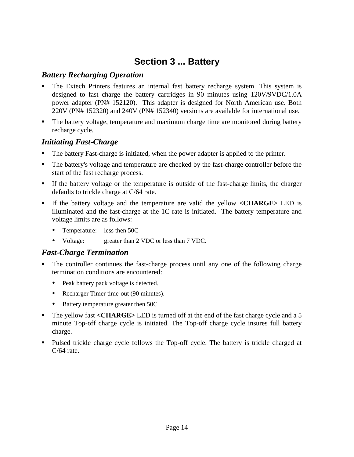### **Section 3 ... Battery**

### *Battery Recharging Operation*

- ß The Extech Printers features an internal fast battery recharge system. This system is designed to fast charge the battery cartridges in 90 minutes using 120V/9VDC/1.0A power adapter (PN# 152120). This adapter is designed for North American use. Both 220V (PN# 152320) and 240V (PN# 152340) versions are available for international use.
- The battery voltage, temperature and maximum charge time are monitored during battery recharge cycle.

### *Initiating Fast-Charge*

- ß The battery Fast-charge is initiated, when the power adapter is applied to the printer.
- The battery's voltage and temperature are checked by the fast-charge controller before the start of the fast recharge process.
- If the battery voltage or the temperature is outside of the fast-charge limits, the charger defaults to trickle charge at C/64 rate.
- ß If the battery voltage and the temperature are valid the yellow **<CHARGE>** LED is illuminated and the fast-charge at the 1C rate is initiated. The battery temperature and voltage limits are as follows:
	- Temperature: less then 50C
	- Voltage: greater than 2 VDC or less than 7 VDC.

### *Fast-Charge Termination*

- The controller continues the fast-charge process until any one of the following charge termination conditions are encountered:
	- Peak battery pack voltage is detected.
	- Recharger Timer time-out (90 minutes).
	- Battery temperature greater then 50C
- **The yellow fast <CHARGE>** LED is turned off at the end of the fast charge cycle and a 5 minute Top-off charge cycle is initiated. The Top-off charge cycle insures full battery charge.
- Pulsed trickle charge cycle follows the Top-off cycle. The battery is trickle charged at  $C/64$  rate.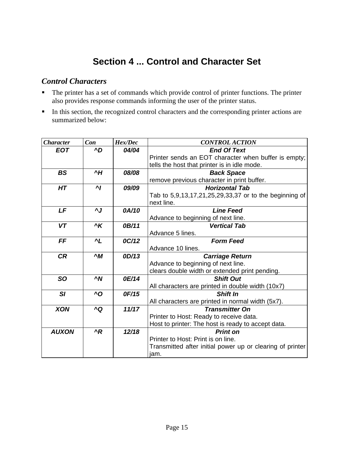### **Section 4 ... Control and Character Set**

### *Control Characters*

- The printer has a set of commands which provide control of printer functions. The printer also provides response commands informing the user of the printer status.
- In this section, the recognized control characters and the corresponding printer actions are summarized below:

| <b>Character</b> | Con                 | Hex/Dec | <b>CONTROL ACTION</b>                                     |  |
|------------------|---------------------|---------|-----------------------------------------------------------|--|
| <b>EOT</b>       | ^D                  | 04/04   | <b>End Of Text</b>                                        |  |
|                  |                     |         | Printer sends an EOT character when buffer is empty;      |  |
|                  |                     |         | tells the host that printer is in idle mode.              |  |
| <b>BS</b>        | $^{\prime}$ H       | 08/08   | <b>Back Space</b>                                         |  |
|                  |                     |         | remove previous character in print buffer.                |  |
| HT               | $\mathbf{M}$        | 09/09   | <b>Horizontal Tab</b>                                     |  |
|                  |                     |         | Tab to 5,9,13,17,21,25,29,33,37 or to the beginning of    |  |
|                  |                     |         | next line.                                                |  |
| LF               | $\mathbf{v}$        | 0A/10   | <b>Line Feed</b>                                          |  |
|                  |                     |         | Advance to beginning of next line.                        |  |
| <b>VT</b>        | $\overline{\kappa}$ | 0B/11   | <b>Vertical Tab</b>                                       |  |
|                  |                     |         | Advance 5 lines.                                          |  |
| <b>FF</b>        | $\mathbf{L}$        | 0C/12   | <b>Form Feed</b>                                          |  |
|                  |                     |         | Advance 10 lines.                                         |  |
| <b>CR</b>        | $^{\wedge}M$        | OD/13   | <b>Carriage Return</b>                                    |  |
|                  |                     |         | Advance to beginning of next line.                        |  |
|                  |                     |         | clears double width or extended print pending.            |  |
| <b>SO</b>        | $\sim N$            | 0E/14   | <b>Shift Out</b>                                          |  |
|                  |                     |         | All characters are printed in double width (10x7)         |  |
| SI               | $\Lambda$ O         | 0F/15   | <b>Shift In</b>                                           |  |
|                  |                     |         | All characters are printed in normal width (5x7).         |  |
| <b>XON</b>       | ^Q                  | 11/17   | <b>Transmitter On</b>                                     |  |
|                  |                     |         | Printer to Host: Ready to receive data.                   |  |
|                  |                     |         | Host to printer: The host is ready to accept data.        |  |
| <b>AUXON</b>     | $^{\prime}R$        | 12/18   | <b>Print on</b>                                           |  |
|                  |                     |         | Printer to Host: Print is on line.                        |  |
|                  |                     |         | Transmitted after initial power up or clearing of printer |  |
|                  |                     |         | jam.                                                      |  |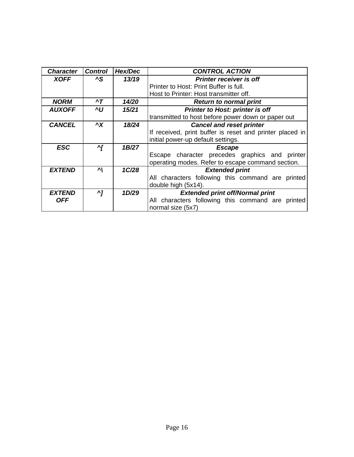| <b>Character</b>     | <b>Control</b> | Hex/Dec | <b>CONTROL ACTION</b>                                    |  |  |
|----------------------|----------------|---------|----------------------------------------------------------|--|--|
| <b>XOFF</b>          | ^S             | 13/19   | <b>Printer receiver is off</b>                           |  |  |
|                      |                |         | Printer to Host: Print Buffer is full.                   |  |  |
|                      |                |         | Host to Printer: Host transmitter off.                   |  |  |
| <b>NORM</b>          | $\mathbf{r}$   | 14/20   | <b>Return to normal print</b>                            |  |  |
| <b>AUXOFF</b>        | ٨U             | 15/21   | <b>Printer to Host: printer is off</b>                   |  |  |
|                      |                |         | transmitted to host before power down or paper out       |  |  |
| <b>CANCEL</b>        | $\mathbf{X}$   | 18/24   | <b>Cancel and reset printer</b>                          |  |  |
|                      |                |         | If received, print buffer is reset and printer placed in |  |  |
|                      |                |         | initial power-up default settings.                       |  |  |
| <b>ESC</b>           | ^[             | 1B/27   | <b>Escape</b>                                            |  |  |
|                      |                |         | Escape character precedes graphics and printer           |  |  |
|                      |                |         | operating modes. Refer to escape command section.        |  |  |
| <b>EXTEND</b>        | 시              | 1C/28   | <b>Extended print</b>                                    |  |  |
|                      |                |         | All characters following this command are printed        |  |  |
|                      |                |         | double high (5x14).                                      |  |  |
| <i><b>EXTEND</b></i> | ^7             | 1D/29   | <b>Extended print off/Normal print</b>                   |  |  |
| <b>OFF</b>           |                |         | All characters following this command are printed        |  |  |
|                      |                |         | normal size (5x7)                                        |  |  |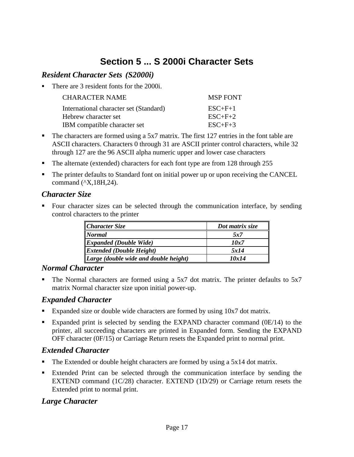### **Section 5 ... S 2000i Character Sets**

### *Resident Character Sets (S2000i)*

There are 3 resident fonts for the 2000i.

| <b>CHARACTER NAME</b>                  | <b>MSP FONT</b> |
|----------------------------------------|-----------------|
| International character set (Standard) | $ESC+F+1$       |
| Hebrew character set                   | $ESC+F+2$       |
| IBM compatible character set           | $ESC+F+3$       |

- $\blacksquare$  The characters are formed using a 5x7 matrix. The first 127 entries in the font table are ASCII characters. Characters 0 through 31 are ASCII printer control characters, while 32 through 127 are the 96 ASCII alpha numeric upper and lower case characters
- The alternate (extended) characters for each font type are from 128 through 255
- The printer defaults to Standard font on initial power up or upon receiving the CANCEL command (^X,18H,24).

### *Character Size*

ß Four character sizes can be selected through the communication interface, by sending control characters to the printer

| $ $ Character Size                                | Dot matrix size |
|---------------------------------------------------|-----------------|
| <b>Normal</b>                                     | 5x7             |
| $\parallel$ <i>Expanded (Double Wide)</i>         | 10x7            |
| $\parallel$ <i>Extended (Double Height)</i>       | 5x14            |
| $\parallel$ Large (double wide and double height) | 10x14           |

### *Normal Character*

The Normal characters are formed using a 5x7 dot matrix. The printer defaults to 5x7 matrix Normal character size upon initial power-up.

### *Expanded Character*

- Expanded size or double wide characters are formed by using  $10x7$  dot matrix.
- Expanded print is selected by sending the EXPAND character command  $(0E/14)$  to the printer, all succeeding characters are printed in Expanded form. Sending the EXPAND OFF character (0F/15) or Carriage Return resets the Expanded print to normal print.

### *Extended Character*

- The Extended or double height characters are formed by using a  $5x14$  dot matrix.
- ß Extended Print can be selected through the communication interface by sending the EXTEND command (1C/28) character. EXTEND (1D/29) or Carriage return resets the Extended print to normal print.

### *Large Character*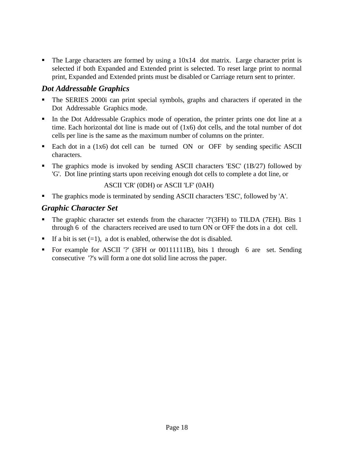The Large characters are formed by using a  $10x14$  dot matrix. Large character print is selected if both Expanded and Extended print is selected. To reset large print to normal print, Expanded and Extended prints must be disabled or Carriage return sent to printer.

### *Dot Addressable Graphics*

- ß The SERIES 2000i can print special symbols, graphs and characters if operated in the Dot Addressable Graphics mode.
- In the Dot Addressable Graphics mode of operation, the printer prints one dot line at a time. Each horizontal dot line is made out of  $(1x6)$  dot cells, and the total number of dot cells per line is the same as the maximum number of columns on the printer.
- Each dot in a (1x6) dot cell can be turned ON or OFF by sending specific ASCII characters.
- ß The graphics mode is invoked by sending ASCII characters 'ESC' (1B/27) followed by 'G'. Dot line printing starts upon receiving enough dot cells to complete a dot line, or

#### ASCII 'CR' (0DH) or ASCII 'LF' (0AH)

• The graphics mode is terminated by sending ASCII characters 'ESC', followed by 'A'.

### *Graphic Character Set*

- The graphic character set extends from the character '?'(3FH) to TILDA (7EH). Bits 1 through 6 of the characters received are used to turn ON or OFF the dots in a dot cell.
- If a bit is set  $(=1)$ , a dot is enabled, otherwise the dot is disabled.
- ß For example for ASCII '?' (3FH or 00111111B), bits 1 through 6 are set. Sending consecutive '?'s will form a one dot solid line across the paper.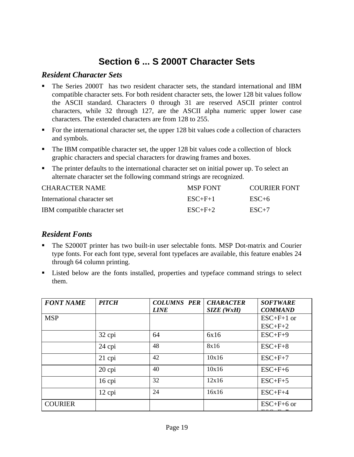### **Section 6 ... S 2000T Character Sets**

### *Resident Character Sets*

- ß The Series 2000T has two resident character sets, the standard international and IBM compatible character sets. For both resident character sets, the lower 128 bit values follow the ASCII standard. Characters 0 through 31 are reserved ASCII printer control characters, while 32 through 127, are the ASCII alpha numeric upper lower case characters. The extended characters are from 128 to 255.
- $\blacksquare$  For the international character set, the upper 128 bit values code a collection of characters and symbols.
- $\blacksquare$  The IBM compatible character set, the upper 128 bit values code a collection of block graphic characters and special characters for drawing frames and boxes.
- The printer defaults to the international character set on initial power up. To select an alternate character set the following command strings are recognized.

| <b>CHARACTER NAME</b>        | <b>MSP FONT</b> | COURIER FONT |
|------------------------------|-----------------|--------------|
| International character set  | $ESC+F+1$       | $ESC+6$      |
| IBM compatible character set | $ESC+F+2$       | $ESC+7$      |

### *Resident Fonts*

- ß The S2000T printer has two built-in user selectable fonts. MSP Dot-matrix and Courier type fonts. For each font type, several font typefaces are available, this feature enables 24 through 64 column printing.
- ß Listed below are the fonts installed, properties and typeface command strings to select them.

| <b>FONT NAME</b> | <b>PITCH</b> | <b>COLUMNS PER</b> | <b>CHARACTER</b> | <b>SOFTWARE</b>  |
|------------------|--------------|--------------------|------------------|------------------|
|                  |              | <b>LINE</b>        | SIZE (WxH)       | <b>COMMAND</b>   |
| <b>MSP</b>       |              |                    |                  | $ESC+F+1$ or     |
|                  |              |                    |                  | $ESC+F+2$        |
|                  | 32 cpi       | 64                 | 6x16             | $ESC+F+9$        |
|                  | 24 cpi       | 48                 | 8x16             | $ESC+F+8$        |
|                  | $21$ cpi     | 42                 | 10x16            | $ESC+F+7$        |
|                  | $20$ cpi     | 40                 | 10x16            | $ESC+F+6$        |
|                  | $16$ cpi     | 32                 | 12x16            | $ESC+F+5$        |
|                  | $12$ cpi     | 24                 | 16x16            | $ESC+F+4$        |
| <b>COURIER</b>   |              |                    |                  | $ESC + F + 6$ or |
|                  |              |                    |                  |                  |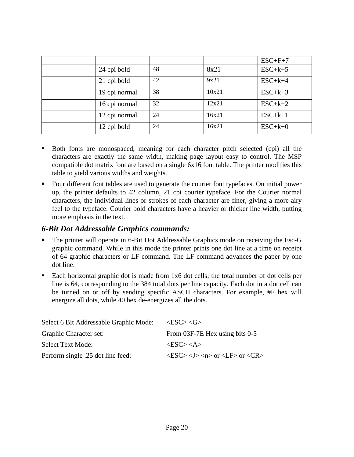|               |    |       | $ESC+F+7$ |
|---------------|----|-------|-----------|
| 24 cpi bold   | 48 | 8x21  | $ESC+k+5$ |
| 21 cpi bold   | 42 | 9x21  | $ESC+k+4$ |
| 19 cpi normal | 38 | 10x21 | $ESC+k+3$ |
| 16 cpi normal | 32 | 12x21 | $ESC+k+2$ |
| 12 cpi normal | 24 | 16x21 | $ESC+k+1$ |
| 12 cpi bold   | 24 | 16x21 | $ESC+k+0$ |

- ß Both fonts are monospaced, meaning for each character pitch selected (cpi) all the characters are exactly the same width, making page layout easy to control. The MSP compatible dot matrix font are based on a single 6x16 font table. The printer modifies this table to yield various widths and weights.
- Four different font tables are used to generate the courier font typefaces. On initial power up, the printer defaults to 42 column, 21 cpi courier typeface. For the Courier normal characters, the individual lines or strokes of each character are finer, giving a more airy feel to the typeface. Courier bold characters have a heavier or thicker line width, putting more emphasis in the text.

### *6-Bit Dot Addressable Graphics commands:*

- ß The printer will operate in 6-Bit Dot Addressable Graphics mode on receiving the Esc-G graphic command. While in this mode the printer prints one dot line at a time on receipt of 64 graphic characters or LF command. The LF command advances the paper by one dot line.
- Each horizontal graphic dot is made from 1x6 dot cells; the total number of dot cells per line is 64, corresponding to the 384 total dots per line capacity. Each dot in a dot cell can be turned on or off by sending specific ASCII characters. For example, #F hex will energize all dots, while 40 hex de-energizes all the dots.

| Select 6 Bit Addressable Graphic Mode: | $\langle ESC \rangle \langle G \rangle$                                                                       |
|----------------------------------------|---------------------------------------------------------------------------------------------------------------|
| Graphic Character set:                 | From 03F-7E Hex using bits 0-5                                                                                |
| <b>Select Text Mode:</b>               | $<$ ESC $>$ $<$ A $>$                                                                                         |
| Perform single .25 dot line feed:      | $\langle ESC \rangle$ $\langle J \rangle$ $\langle n \rangle$ or $\langle LF \rangle$ or $\langle CR \rangle$ |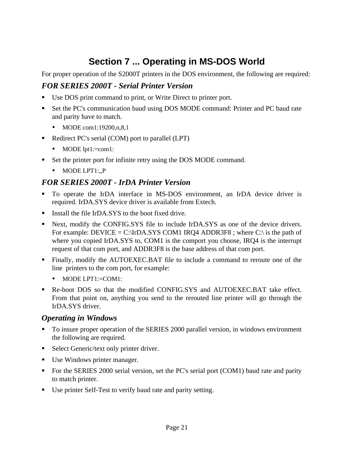### **Section 7 ... Operating in MS-DOS World**

For proper operation of the S2000T printers in the DOS environment, the following are required:

### *FOR SERIES 2000T - Serial Printer Version*

- Use DOS print command to print, or Write Direct to printer port.
- ß Set the PC's communication baud using DOS MODE command: Printer and PC baud rate and parity have to match.
	- MODE com1:19200,n,8,1
- Redirect PC's serial (COM) port to parallel (LPT)
	- MODE lpt1:=com1:
- Set the printer port for infinite retry using the DOS MODE command.
	- MODE LPT1:<sub>n</sub>P

### *FOR SERIES 2000T - IrDA Printer Version*

- ß To operate the IrDA interface in MS-DOS environment, an IrDA device driver is required. IrDA.SYS device driver is available from Extech.
- Install the file IrDA.SYS to the boot fixed drive.
- **EXECUTE:** Next, modify the CONFIG.SYS file to include IrDA.SYS as one of the device drivers. For example: DEVICE = C:\IrDA.SYS COM1 IRO4 ADDR3F8 ; where C:\ is the path of where you copied IrDA.SYS to, COM1 is the comport you choose, IRQ4 is the interrupt request of that com port, and ADDR3F8 is the base address of that com port.
- **Finally, modify the AUTOEXEC.BAT file to include a command to reroute one of the** line printers to the com port, for example:
	- MODE LPT1:=COM1:
- Re-boot DOS so that the modified CONFIG.SYS and AUTOEXEC.BAT take effect. From that point on, anything you send to the rerouted line printer will go through the IrDA.SYS driver.

### *Operating in Windows*

- ß To insure proper operation of the SERIES 2000 parallel version, in windows environment the following are required.
- Select Generic/text only printer driver.
- Use Windows printer manager.
- For the SERIES 2000 serial version, set the PC's serial port (COM1) baud rate and parity to match printer.
- Use printer Self-Test to verify baud rate and parity setting.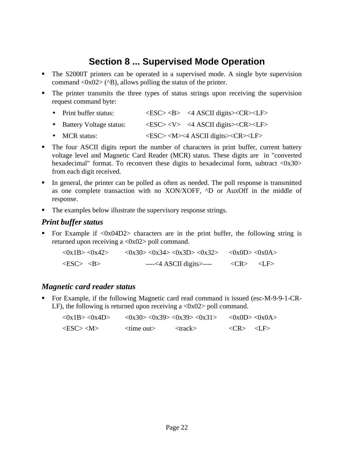### **Section 8 ... Supervised Mode Operation**

- The S2000T printers can be operated in a supervised mode. A single byte supervision command  $\langle 0x02 \rangle$  ( $\langle B \rangle$ ), allows polling the status of the printer.
- The printer transmits the three types of status strings upon receiving the supervision request command byte:
	- Print buffer status:  $\langle ESC \rangle \langle B \rangle$  <4 ASCII digits  $\langle CR \rangle \langle LF \rangle$
	- Battery Voltage status:  $\langle ESC \rangle \langle V \rangle$  <4 ASCII digits  $\langle CR \rangle \langle LF \rangle$
	- MCR status:  $\langle ESC \rangle \langle M \rangle \langle 4 \rangle$  ASCII digits  $\langle CR \rangle \langle LF \rangle$
- The four ASCII digits report the number of characters in print buffer, current battery voltage level and Magnetic Card Reader (MCR) status. These digits are in "converted hexadecimal" format. To reconvert these digits to hexadecimal form, subtract <0x30> from each digit received.
- ß In general, the printer can be polled as often as needed. The poll response is transmitted as one complete transaction with no XON/XOFF, ^D or AuxOff in the middle of response.
- The examples below illustrate the supervisory response strings.

### *Print buffer status*

For Example if  $\langle 0x04D2 \rangle$  characters are in the print buffer, the following string is returned upon receiving a <0x02> poll command.

| $<$ 0x1B> $<$ 0x42> | $\langle 0x30 \rangle \langle 0x34 \rangle \langle 0x3D \rangle \langle 0x32 \rangle$ $\langle 0x0D \rangle \langle 0x0A \rangle$ |                                           |  |
|---------------------|-----------------------------------------------------------------------------------------------------------------------------------|-------------------------------------------|--|
| $<$ ESC> $<$ B>     | $---<4$ ASCII digits                                                                                                              | $\langle CR \rangle$ $\langle LF \rangle$ |  |

### *Magnetic card reader status*

■ For Example, if the following Magnetic card read command is issued (esc-M-9-9-1-CR-LF), the following is returned upon receiving a  $\langle 0x02 \rangle$  poll command.

| <0x1B><0x4D>    |                              | $\langle 0x30 \rangle \langle 0x39 \rangle \langle 0x39 \rangle \langle 0x31 \rangle$ |                                           | <0x0D><0x0A> |
|-----------------|------------------------------|---------------------------------------------------------------------------------------|-------------------------------------------|--------------|
| $<$ ESC> $<$ M> | $\langle$ time out $\rangle$ | $<$ track $>$                                                                         | $\langle CR \rangle$ $\langle LF \rangle$ |              |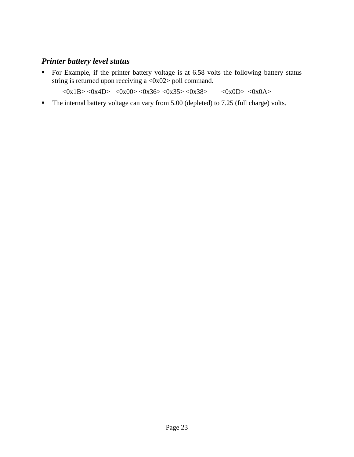### *Printer battery level status*

• For Example, if the printer battery voltage is at 6.58 volts the following battery status string is returned upon receiving a <0x02> poll command.

 $\langle 0x1B \rangle \langle 0x4D \rangle$   $\langle 0x00 \rangle \langle 0x36 \rangle \langle 0x35 \rangle \langle 0x38 \rangle$   $\langle 0x0D \rangle \langle 0x0A \rangle$ 

• The internal battery voltage can vary from 5.00 (depleted) to 7.25 (full charge) volts.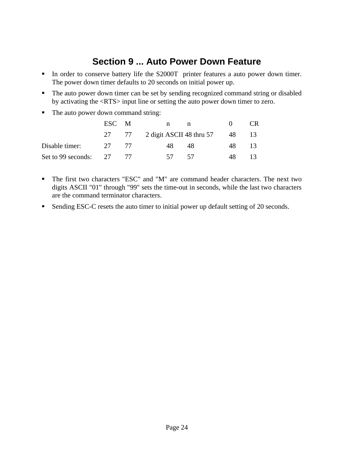### **Section 9 ... Auto Power Down Feature**

- In order to conserve battery life the S2000T printer features a auto power down timer. The power down timer defaults to 20 seconds on initial power up.
- The auto power down timer can be set by sending recognized command string or disabled by activating the <RTS> input line or setting the auto power down timer to zero.
- The auto power down command string:

|                            | ESC M | $\mathbf n$<br>n                  |      | CR. |
|----------------------------|-------|-----------------------------------|------|-----|
|                            |       | 27 77 2 digit ASCII 48 thru 57 48 |      |     |
| Disable timer:             | 27 77 | 48<br>48                          | 48   | -13 |
| Set to 99 seconds: $27$ 77 |       | 57 57                             | - 48 |     |

- ß The first two characters "ESC" and "M" are command header characters. The next two digits ASCII "01" through "99" sets the time-out in seconds, while the last two characters are the command terminator characters.
- Sending ESC-C resets the auto timer to initial power up default setting of 20 seconds.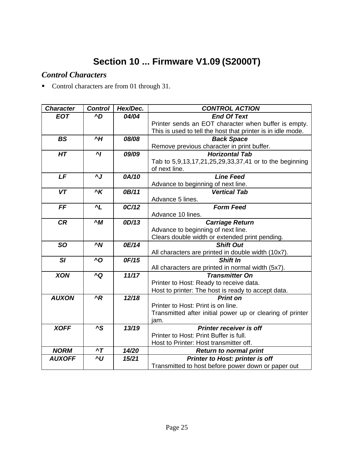## **Section 10 ... Firmware V1.09 (S2000T)**

### *Control Characters*

**•** Control characters are from 01 through 31.

| <b>Character</b> | <b>Control</b>                     | Hex/Dec. | <b>CONTROL ACTION</b>                                       |
|------------------|------------------------------------|----------|-------------------------------------------------------------|
| <b>EOT</b>       | ^D                                 | 04/04    | <b>End Of Text</b>                                          |
|                  |                                    |          | Printer sends an EOT character when buffer is empty.        |
|                  |                                    |          | This is used to tell the host that printer is in idle mode. |
| <b>BS</b>        | $\overline{H}$                     | 08/08    | <b>Back Space</b>                                           |
|                  |                                    |          | Remove previous character in print buffer.                  |
| HT               | $\mathbf{M}$                       | 09/09    | <b>Horizontal Tab</b>                                       |
|                  |                                    |          | Tab to 5,9,13,17,21,25,29,33,37,41 or to the beginning      |
|                  |                                    |          | of next line.                                               |
| LF               | ٨J                                 | 0A/10    | <b>Line Feed</b>                                            |
|                  |                                    |          | Advance to beginning of next line.                          |
| VT               | $\overline{\overline{\mathsf{K}}}$ | 0B/11    | <b>Vertical Tab</b>                                         |
|                  |                                    |          | Advance 5 lines.                                            |
| FF               | $^{\prime}L$                       | 0C/12    | <b>Form Feed</b>                                            |
|                  |                                    |          | Advance 10 lines.                                           |
| <b>CR</b>        | $\wedge M$                         | 0D/13    | <b>Carriage Return</b>                                      |
|                  |                                    |          | Advance to beginning of next line.                          |
|                  |                                    |          | Clears double width or extended print pending.              |
| <b>SO</b>        | $\sim N$                           | 0E/14    | <b>Shift Out</b>                                            |
|                  |                                    |          | All characters are printed in double width (10x7).          |
| SI               | ^O                                 | 0F/15    | Shift In                                                    |
|                  |                                    |          | All characters are printed in normal width (5x7).           |
| <b>XON</b>       | ^Q                                 | 11/17    | <b>Transmitter On</b>                                       |
|                  |                                    |          | Printer to Host: Ready to receive data.                     |
|                  |                                    |          | Host to printer: The host is ready to accept data.          |
| <b>AUXON</b>     | $^{\prime}R$                       | 12/18    | <b>Print on</b>                                             |
|                  |                                    |          | Printer to Host: Print is on line.                          |
|                  |                                    |          | Transmitted after initial power up or clearing of printer   |
|                  |                                    |          | jam.                                                        |
| <b>XOFF</b>      | ^S                                 | 13/19    | <b>Printer receiver is off</b>                              |
|                  |                                    |          | Printer to Host: Print Buffer is full.                      |
|                  |                                    |          | Host to Printer: Host transmitter off.                      |
| <b>NORM</b>      | $\mathbf{r}$                       | 14/20    | <b>Return to normal print</b>                               |
| <b>AUXOFF</b>    | ^U                                 | 15/21    | Printer to Host: printer is off                             |
|                  |                                    |          | Transmitted to host before power down or paper out          |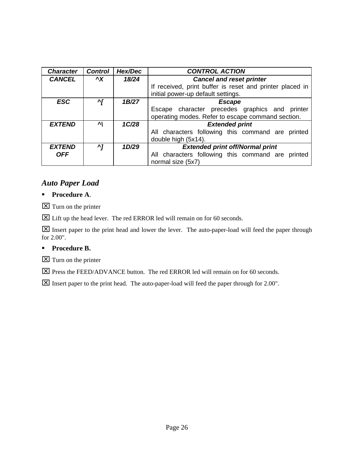| <b>Character</b> | <b>Control</b> | Hex/Dec | <b>CONTROL ACTION</b>                                    |
|------------------|----------------|---------|----------------------------------------------------------|
| <b>CANCEL</b>    | $\mathbf{X}$   | 18/24   | <b>Cancel and reset printer</b>                          |
|                  |                |         | If received, print buffer is reset and printer placed in |
|                  |                |         | initial power-up default settings.                       |
| <b>ESC</b>       | ^ſ             | 1B/27   | <b>Escape</b>                                            |
|                  |                |         | Escape character precedes graphics and printer           |
|                  |                |         | operating modes. Refer to escape command section.        |
| <b>EXTEND</b>    | ᄭ              | 1C/28   | <b>Extended print</b>                                    |
|                  |                |         | All characters following this command are printed        |
|                  |                |         | double high (5x14).                                      |
| <b>EXTEND</b>    | ^7             | 1D/29   | <b>Extended print off/Normal print</b>                   |
| <b>OFF</b>       |                |         | All characters following this command are printed        |
|                  |                |         | normal size (5x7)                                        |

### *Auto Paper Load*

#### **Procedure A.**

 $\boxed{\mathsf{X}}$  Turn on the printer

**X** Lift up the head lever. The red ERROR led will remain on for 60 seconds.

**X** Insert paper to the print head and lower the lever. The auto-paper-load will feed the paper through for 2.00".

#### **Procedure B.**

 $\boxed{\times}$  Turn on the printer

**X** Press the FEED/ADVANCE button. The red ERROR led will remain on for 60 seconds.

x Insert paper to the print head. The auto-paper-load will feed the paper through for 2.00".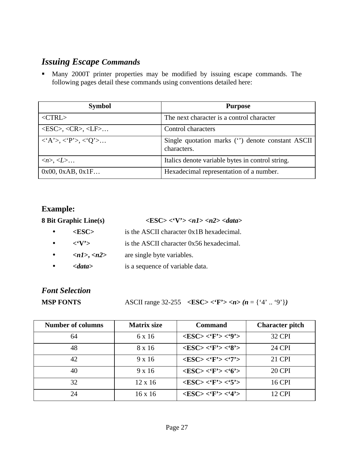### *Issuing Escape Commands*

**Many 2000T printer properties may be modified by issuing escape commands. The** following pages detail these commands using conventions detailed here:

| <b>Symbol</b>                                                       | <b>Purpose</b>                                                  |
|---------------------------------------------------------------------|-----------------------------------------------------------------|
| $<$ CTRL $>$                                                        | The next character is a control character                       |
| $\langle ESC \rangle$ , $\langle CR \rangle$ , $\langle LF \rangle$ | Control characters                                              |
| $\langle A \rangle, \langle P \rangle, \langle O \rangle$           | Single quotation marks (") denote constant ASCII<br>characters. |
| $\langle n \rangle, \langle L \rangle$                              | Italics denote variable bytes in control string.                |
| 0x00, 0xAB, 0x1F                                                    | Hexadecimal representation of a number.                         |

### **Example:**

|           | <b>8 Bit Graphic Line(s)</b>           | $\langle ESC \rangle \langle V' \rangle \langle n1 \rangle \langle n2 \rangle \langle data \rangle$ |
|-----------|----------------------------------------|-----------------------------------------------------------------------------------------------------|
|           | $<$ ESC $>$                            | is the ASCII character 0x1B hexadecimal.                                                            |
|           | $\langle$ $\langle$ $V \rangle$        | is the ASCII character 0x56 hexadecimal.                                                            |
| $\bullet$ | $\langle n1\rangle, \langle n2\rangle$ | are single byte variables.                                                                          |
|           | $\langle data \rangle$                 | is a sequence of variable data.                                                                     |

# *Font Selection*

**MSP FONTS** ASCII range 32-255  $\langle$  **ESC**  $\langle$  **Y**  $\langle$  *n*  $\rangle$  *(n* = { $\langle$  4' ..  $\langle$  9' } $\rangle$ )

| <b>Number of columns</b> | <b>Matrix size</b> | <b>Command</b>                                              | <b>Character pitch</b> |
|--------------------------|--------------------|-------------------------------------------------------------|------------------------|
| 64                       | 6 x 16             | $\langle ESC \rangle \langle F' \rangle \langle 9' \rangle$ | 32 CPI                 |
| 48                       | 8 x 16             | $<\!\!ESC\!\!><\!\!`F\!\!><\!\!`8\!\!>$                     | <b>24 CPI</b>          |
| 42                       | $9 \times 16$      | $<\!\!ESC\!\!><\!\!`F'\!\!><\!\!`7'\!\!>$                   | 21 CPI                 |
| 40                       | $9 \times 16$      | $<\!\!ESC\!\!><\!\!`F\!\!><\!\!`6\!\!>$                     | <b>20 CPI</b>          |
| 32                       | $12 \times 16$     | $<\!\!ESC\!\!><\!\!`F\!\!><\!\!`5\!\!>$                     | <b>16 CPI</b>          |
| 24                       | $16 \times 16$     | $<$ ESC> $<$ 'F'> $<$ '4'>                                  | <b>12 CPI</b>          |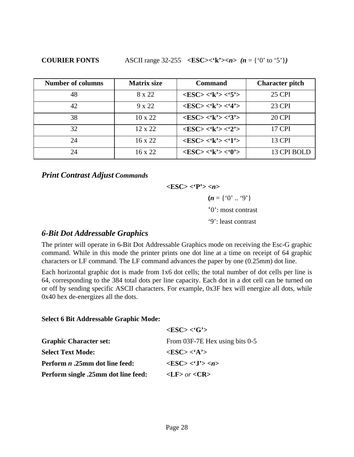**COURIER FONTS** ASCII range 32-255  $\langle$ **ESC>** $\langle$ **'k'>** $n$   $(n = \{$ '0' to '5'})

| <b>Number of columns</b> | <b>Matrix size</b> | <b>Command</b>                                              | <b>Character pitch</b> |
|--------------------------|--------------------|-------------------------------------------------------------|------------------------|
| 48                       | 8 x 22             | $\langle ESC \rangle \langle k' \rangle \langle 5' \rangle$ | <b>25 CPI</b>          |
| 42                       | $9 \times 22$      | $<$ ESC> $<$ 'k'> $<$ '4'>                                  | 23 CPI                 |
| 38                       | $10 \times 22$     | $\langle ESC \rangle \langle k' \rangle \langle 3' \rangle$ | <b>20 CPI</b>          |
| 32                       | 12 x 22            | $\langle ESC \rangle \langle k' \rangle \langle 2' \rangle$ | 17 CPI                 |
| 24                       | $16 \times 22$     | $\langle ESC \rangle \langle k' \rangle \langle 1' \rangle$ | 13 CPI                 |
| 24                       | $16 \times 22$     | $<$ ESC> $<$ 'k'> $<$ '0'>                                  | 13 CPI BOLD            |

*Print Contrast Adjust Commands*

**<ESC> <'P'> <***n***>**  $(n = \{ '0' ... '9' \} )$ '0': most contrast '9': least contrast

### *6-Bit Dot Addressable Graphics*

The printer will operate in 6-Bit Dot Addressable Graphics mode on receiving the Esc-G graphic command. While in this mode the printer prints one dot line at a time on receipt of 64 graphic characters or LF command. The LF command advances the paper by one (0.25mm) dot line.

Each horizontal graphic dot is made from 1x6 dot cells; the total number of dot cells per line is 64, corresponding to the 384 total dots per line capacity. Each dot in a dot cell can be turned on or off by sending specific ASCII characters. For example, 0x3F hex will energize all dots, while 0x40 hex de-energizes all the dots.

#### **Select 6 Bit Addressable Graphic Mode:**

|                                              | $<\text{ESC}$ > $<$ 'G'>       |
|----------------------------------------------|--------------------------------|
| <b>Graphic Character set:</b>                | From 03F-7E Hex using bits 0-5 |
| <b>Select Text Mode:</b>                     | $<\text{ESC}>>\text{A}>>$      |
| <b>Perform <i>n</i></b> .25mm dot line feed: | $<\text{ESC}><\{J\}>$          |
| <b>Perform single .25mm dot line feed:</b>   | $\langle$ LF> or $\langle$ CR> |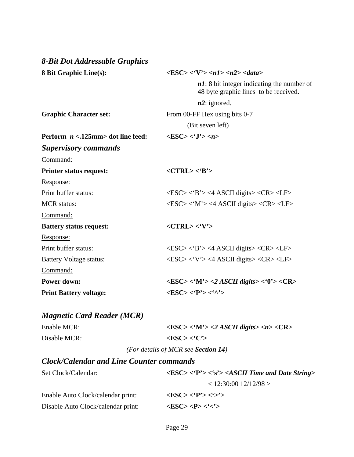| 8-Bit Dot Addressable Graphics       |                                                                                                                 |
|--------------------------------------|-----------------------------------------------------------------------------------------------------------------|
| <b>8 Bit Graphic Line(s):</b>        | $\langle ESC \rangle \langle V' \rangle \langle n1 \rangle \langle n2 \rangle \langle data \rangle$             |
|                                      | $n!$ : 8 bit integer indicating the number of<br>48 byte graphic lines to be received.                          |
|                                      | $n2$ : ignored.                                                                                                 |
| <b>Graphic Character set:</b>        | From 00-FF Hex using bits 0-7                                                                                   |
|                                      | (Bit seven left)                                                                                                |
| Perform $n < 125$ mm> dot line feed: | $\langle ESC \rangle \langle 'J' \rangle \langle n \rangle$                                                     |
| <b>Supervisory commands</b>          |                                                                                                                 |
| Command:                             |                                                                                                                 |
| <b>Printer status request:</b>       | $<$ CTRL> $<$ B'>                                                                                               |
| Response:                            |                                                                                                                 |
| Print buffer status:                 | $\langle ESC \rangle \langle B \rangle$ $\langle 4$ ASCII digits $\langle CR \rangle \langle LF \rangle$        |
| <b>MCR</b> status:                   | $\langle ESC \rangle \langle M' \rangle \langle 4$ ASCII digits $\langle CR \rangle \langle LF \rangle$         |
| Command:                             |                                                                                                                 |
| <b>Battery status request:</b>       | $<$ CTRL> $<$ 'V'>                                                                                              |
| Response:                            |                                                                                                                 |
| Print buffer status:                 | $\langle ESC \rangle \langle B \rangle$ $\langle 4$ ASCII digits $\langle CR \rangle \langle LF \rangle$        |
| <b>Battery Voltage status:</b>       | $\langle ESC \rangle \langle V' \rangle \langle 4$ ASCII digits $\langle CR \rangle \langle LF \rangle$         |
| Command:                             |                                                                                                                 |
| <b>Power down:</b>                   | $\langle ESC \rangle \langle M' \rangle \langle 2 ASCH \; digits \rangle \langle 0' \rangle \langle CR \rangle$ |
| <b>Print Battery voltage:</b>        | $<\!\!{\rm ESC}\!\!><\!\!`P\!\!><\!\!`''\!\!>$                                                                  |
|                                      |                                                                                                                 |

### *Magnetic Card Reader (MCR)*

| Enable MCR:  | $\langle ESC \rangle \langle M' \rangle \langle 2 ASCH \, digits \rangle \langle n \rangle \langle CR \rangle$ |
|--------------|----------------------------------------------------------------------------------------------------------------|
| Disable MCR: | $<$ ESC> $<$ C'>                                                                                               |
|              | (For details of MCR see Section 14)                                                                            |

### *Clock/Calendar and Line Counter commands*

| Set Clock/Calendar:                | $\langle ESC \rangle \langle P' \rangle \langle S' \rangle \langle ASCII$ Time and Date String |
|------------------------------------|------------------------------------------------------------------------------------------------|
|                                    | $<$ 12:30:00 12/12/98 >                                                                        |
| Enable Auto Clock/calendar print:  | $<\text{ESC}>>\text{Y'}>>\text{Y'}>$                                                           |
| Disable Auto Clock/calendar print: | $<\text{ESC}>>\text{P}><<^{\prime}>$                                                           |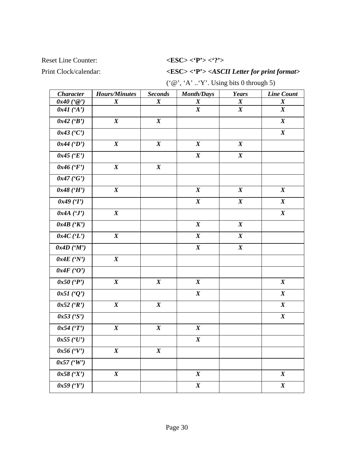#### Reset Line Counter:  $\langle ESC \rangle \langle P' \rangle \langle '? \rangle$

### Print Clock/calendar: **<ESC> <'P'> <***ASCII Letter for print format***>**

('@', 'A' ..'Y'. Using bits 0 through 5)

| <b>Character</b>    | <b>Hours/Minutes</b> | <b>Seconds</b>   | <b>Month/Days</b> | <b>Years</b>     | <b>Line Count</b> |
|---------------------|----------------------|------------------|-------------------|------------------|-------------------|
| $0x40$ ('@')        | $\boldsymbol{X}$     | $\boldsymbol{X}$ | $\boldsymbol{X}$  | $\boldsymbol{X}$ | $\boldsymbol{X}$  |
| $0x41$ ('A')        |                      |                  | $\boldsymbol{X}$  | $\boldsymbol{X}$ | $\boldsymbol{X}$  |
| $0x42$ ('B')        | $\boldsymbol{X}$     | $\boldsymbol{X}$ |                   |                  | $\boldsymbol{X}$  |
| $0x43$ ('C')        |                      |                  |                   |                  | $\boldsymbol{X}$  |
| $0x44$ (D')         | $\boldsymbol{X}$     | $\boldsymbol{X}$ | $\boldsymbol{X}$  | $\boldsymbol{X}$ |                   |
| $0x45$ ('E')        |                      |                  | $\boldsymbol{X}$  | $\boldsymbol{X}$ |                   |
| $0x46$ ('F')        | $\boldsymbol{X}$     | $\boldsymbol{X}$ |                   |                  |                   |
| $0x47$ ('G')        |                      |                  |                   |                  |                   |
| $0x48$ ('H')        | $\boldsymbol{X}$     |                  | $\boldsymbol{X}$  | $\boldsymbol{X}$ | $\boldsymbol{X}$  |
| 0x49(T)             |                      |                  | $\boldsymbol{X}$  | $\boldsymbol{X}$ | $\boldsymbol{X}$  |
| 0x4A(T)             | $\boldsymbol{X}$     |                  |                   |                  | $\boldsymbol{X}$  |
| 0x4B(YK)            |                      |                  | $\boldsymbol{X}$  | $\boldsymbol{X}$ |                   |
| 0x4C(T)             | $\boldsymbol{X}$     |                  | $\boldsymbol{X}$  | $\boldsymbol{X}$ |                   |
| 0x4D'(M')           |                      |                  | $\boldsymbol{X}$  | $\boldsymbol{X}$ |                   |
| 0x4E(Y')            | $\boldsymbol{X}$     |                  |                   |                  |                   |
| 0x4F(0')            |                      |                  |                   |                  |                   |
| $0x50$ (P')         | $\boldsymbol{X}$     | $\boldsymbol{X}$ | $\boldsymbol{X}$  |                  | $\boldsymbol{X}$  |
| $0x51($ ' $Q$ ' $)$ |                      |                  | $\pmb{X}$         |                  | $\boldsymbol{X}$  |
| $0x52$ ('R')        | $\boldsymbol{X}$     | $\boldsymbol{X}$ |                   |                  | $\boldsymbol{X}$  |
| 0x53 (S')           |                      |                  |                   |                  | $\boldsymbol{X}$  |
| 0x54(T)             | $\pmb{X}$            | $\boldsymbol{X}$ | $\boldsymbol{X}$  |                  |                   |
| $0x55$ ('U')        |                      |                  | $\boldsymbol{X}$  |                  |                   |
| $0x56$ ('V')        | $\boldsymbol{X}$     | $\boldsymbol{X}$ |                   |                  |                   |
| $0x57$ ('W')        |                      |                  |                   |                  |                   |
| 0x58(Y)             | $\pmb{X}$            |                  | $\boldsymbol{X}$  |                  | $\boldsymbol{X}$  |
| 0x59 (Y)            |                      |                  | $\boldsymbol{X}$  |                  | $\pmb{X}$         |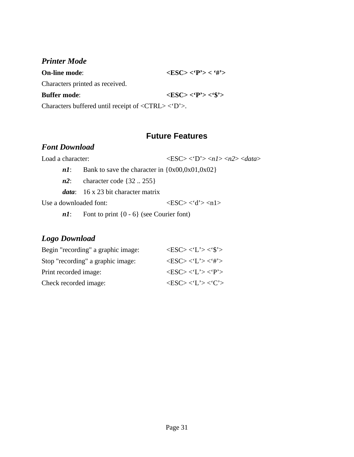### *Printer Mode*

| <b>On-line mode:</b>                                                                           | $\langle ESC \rangle \langle P' \rangle \langle \langle H' \rangle \rangle$ |  |  |  |
|------------------------------------------------------------------------------------------------|-----------------------------------------------------------------------------|--|--|--|
| Characters printed as received.                                                                |                                                                             |  |  |  |
| <b>Buffer mode:</b>                                                                            | $<\text{ESC}>< P'> <$ \$'>                                                  |  |  |  |
| Characters buffered until receipt of $\langle \text{CTRL} \rangle \langle \text{D}' \rangle$ . |                                                                             |  |  |  |

### **Future Features**

### *Font Download*

Load a character: <ESC> <'D'> <*n1*> <*n2*> <*data*>

*n1*: Bank to save the character in  $\{0x00,0x01,0x02\}$ 

*n2*: character code {32 .. 255}

*data*: 16 x 23 bit character matrix

Use a downloaded font:  $\langle ESC \rangle \langle d' \rangle \langle n1 \rangle$ 

*n1*: Font to print  $\{0 - 6\}$  (see Courier font)

### *Logo Download*

| Begin "recording" a graphic image: | $\langle ESC \rangle \langle L' \rangle \langle $' \rangle$ |
|------------------------------------|-------------------------------------------------------------|
| Stop "recording" a graphic image:  | $\langle ESC \rangle \langle L' \rangle \langle H' \rangle$ |
| Print recorded image:              | $\langle ESC\rangle\langle L'\rangle\langle T'\rangle$      |
| Check recorded image:              | $\langle ESC\rangle\langle L'\rangle\langle C'\rangle$      |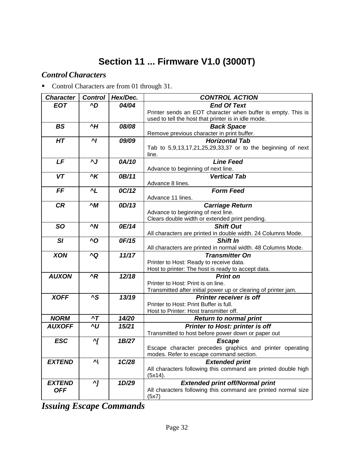# **Section 11 ... Firmware V1.0 (3000T)**

### *Control Characters*

**•** Control Characters are from 01 through 31.

| <b>Character</b> | <b>Control</b> | Hex/Dec. | <b>CONTROL ACTION</b>                                                            |
|------------------|----------------|----------|----------------------------------------------------------------------------------|
| <b>EOT</b>       | ^D             | 04/04    | <b>End Of Text</b>                                                               |
|                  |                |          | Printer sends an EOT character when buffer is empty. This is                     |
|                  |                |          | used to tell the host that printer is in idle mode.                              |
| <b>BS</b>        | ۸H             | 08/08    | <b>Back Space</b>                                                                |
|                  |                |          | Remove previous character in print buffer.                                       |
| HT               | $\mathbf{M}$   | 09/09    | <b>Horizontal Tab</b>                                                            |
|                  |                |          | Tab to 5,9,13,17,21,25,29,33,37 or to the beginning of next                      |
|                  |                |          | line.                                                                            |
| LF               | $\mathbf{v}$   | 0A/10    | <b>Line Feed</b>                                                                 |
|                  |                |          | Advance to beginning of next line.                                               |
| <b>VT</b>        | ^K             | 0B/11    | <b>Vertical Tab</b>                                                              |
|                  |                |          | Advance 8 lines.                                                                 |
| FF               | $^{\prime}$ L  | 0C/12    | <b>Form Feed</b>                                                                 |
| <b>CR</b>        | $\sim M$       | 0D/13    | Advance 11 lines.<br><b>Carriage Return</b>                                      |
|                  |                |          | Advance to beginning of next line.                                               |
|                  |                |          | Clears double width or extended print pending.                                   |
| <b>SO</b>        | $\sim N$       | 0E/14    | <b>Shift Out</b>                                                                 |
|                  |                |          | All characters are printed in double width. 24 Columns Mode.                     |
| SI               | ^O             | 0F/15    | <b>Shift In</b>                                                                  |
|                  |                |          | All characters are printed in normal width. 48 Columns Mode.                     |
| <b>XON</b>       | ^Q             | 11/17    | <b>Transmitter On</b>                                                            |
|                  |                |          | Printer to Host: Ready to receive data.                                          |
|                  |                |          | Host to printer: The host is ready to accept data.                               |
| <b>AUXON</b>     | $^{\prime}R$   | 12/18    | <b>Print on</b>                                                                  |
|                  |                |          | Printer to Host: Print is on line.                                               |
|                  |                |          | Transmitted after initial power up or clearing of printer jam.                   |
| <b>XOFF</b>      | ^S             | 13/19    | <b>Printer receiver is off</b>                                                   |
|                  |                |          | Printer to Host: Print Buffer is full.<br>Host to Printer: Host transmitter off. |
| <b>NORM</b>      | $\mathbf{r}$   | 14/20    | <b>Return to normal print</b>                                                    |
| <b>AUXOFF</b>    | ^U             | 15/21    | Printer to Host: printer is off                                                  |
|                  |                |          | Transmitted to host before power down or paper out                               |
| <b>ESC</b>       | $\gamma$       | 1B/27    | <b>Escape</b>                                                                    |
|                  |                |          | Escape character precedes graphics and printer operating                         |
|                  |                |          | modes. Refer to escape command section.                                          |
| <b>EXTEND</b>    | $\mathbf{v}$   | 1C/28    | <b>Extended print</b>                                                            |
|                  |                |          | All characters following this command are printed double high                    |
|                  |                |          | (5x14).                                                                          |
| <b>EXTEND</b>    | $\mathbf{v}$   | 1D/29    | <b>Extended print off/Normal print</b>                                           |
| <b>OFF</b>       |                |          | All characters following this command are printed normal size                    |
|                  |                |          | (5x7)                                                                            |

*Issuing Escape Commands*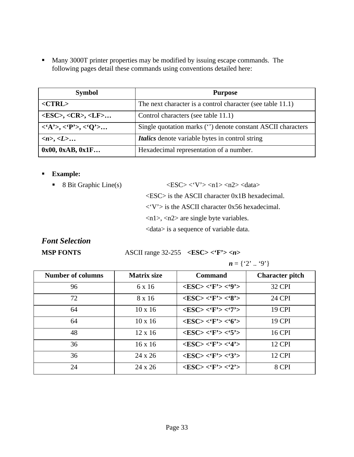**Many 3000T printer properties may be modified by issuing escape commands. The** following pages detail these commands using conventions detailed here:

| <b>Symbol</b>                                             | <b>Purpose</b>                                              |
|-----------------------------------------------------------|-------------------------------------------------------------|
| $<$ CTRL $>$                                              | The next character is a control character (see table 11.1)  |
| $<\epsilon$ SC>, <cr>, <lf></lf></cr>                     | Control characters (see table 11.1)                         |
| $\langle A'\rangle, \langle P'\rangle, \langle O'\rangle$ | Single quotation marks (") denote constant ASCII characters |
| $\langle n \rangle, \langle L \rangle$                    | <i>Italics</i> denote variable bytes in control string      |
| 0x00, 0xAB, 0x1F                                          | Hexadecimal representation of a number.                     |

#### ß **Example:**

 $\blacktriangleright$  8 Bit Graphic Line(s)  $\langle ESC \rangle \langle V' \rangle \langle n1 \rangle \langle n2 \rangle \langle data \rangle$ 

<ESC> is the ASCII character 0x1B hexadecimal.  $\langle V' \rangle$  is the ASCII character 0x56 hexadecimal.

<n1>, <n2> are single byte variables.

<data> is a sequence of variable data.

### *Font Selection*

### **MSP FONTS** ASCII range 32-255 **<ESC> <'F'> <***n***>**

| n | $\omega$ | ٬۵٬۱ |
|---|----------|------|
|   |          |      |

| <b>Number of columns</b> | <b>Matrix size</b> | <b>Command</b>                          | <b>Character pitch</b> |
|--------------------------|--------------------|-----------------------------------------|------------------------|
| 96                       | 6 x 16             | $<$ ESC> $<$ 'F'> $<$ '9'>              | <b>32 CPI</b>          |
| 72                       | 8 x 16             | $<$ ESC> $<$ 'F'> $<$ '8'>              | <b>24 CPI</b>          |
| 64                       | $10 \times 16$     | $<$ ESC> $<$ 'F'> $<$ '7'>              | 19 CPI                 |
| 64                       | $10 \times 16$     | $<$ ESC> $<$ 'F'> $<$ '6'>              | <b>19 CPI</b>          |
| 48                       | $12 \times 16$     | $<$ ESC> $<$ 'F'> $<$ '5'>              | <b>16 CPI</b>          |
| 36                       | $16 \times 16$     | $<$ ESC> $<$ 'F'> $<$ '4'>              | <b>12 CPI</b>          |
| 36                       | 24 x 26            | $<\!\!ESC\!\!><\!\!`F\!\!><\!\!`3\!\!>$ | <b>12 CPI</b>          |
| 24                       | 24 x 26            | $<$ ESC> $<$ 'F'> $<$ '2'>              | 8 CPI                  |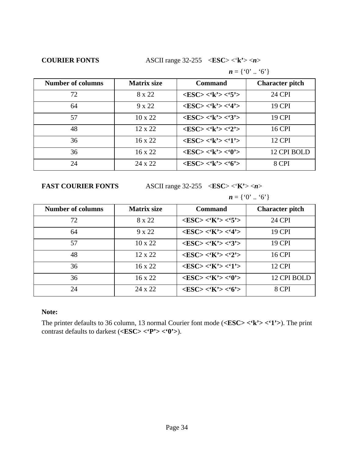**COURIER FONTS** ASCII range 32-255 <**ESC**> <'**k'**> <*n*>

|                          |                    | $n = \{0, 0, 0\}$                                           |                        |  |
|--------------------------|--------------------|-------------------------------------------------------------|------------------------|--|
| <b>Number of columns</b> | <b>Matrix size</b> | Command                                                     | <b>Character pitch</b> |  |
| 72                       | 8 x 22             | $\langle ESC \rangle \langle k' \rangle \langle 5' \rangle$ | <b>24 CPI</b>          |  |
| 64                       | $9 \times 22$      | $<$ ESC> $<$ 'k'> $<$ '4'>                                  | 19 CPI                 |  |
| 57                       | $10 \times 22$     | $<$ ESC> $<$ 'k'> $<$ '3'>                                  | <b>19 CPI</b>          |  |
| 48                       | $12 \times 22$     | $\langle ESC \rangle \langle k' \rangle \langle 2' \rangle$ | <b>16 CPI</b>          |  |
| 36                       | $16 \times 22$     | $<$ ESC> $<$ 'k'> $<$ '1'>                                  | <b>12 CPI</b>          |  |
| 36                       | $16 \times 22$     | $<\!\!ESC\!\!><\!\!`k\!\!><\!\!`0'\!\!>$                    | 12 CPI BOLD            |  |
| 24                       | $24 \times 22$     | $<$ ESC> $<$ 'k'> $<$ '6'>                                  | 8 CPI                  |  |

**FAST COURIER FONTS** ASCII range 32-255 <**ESC**> <**K'**>>>

$$
\mathbf{n}=\{0,0,0,0\}
$$

| <b>Number of columns</b> | <b>Matrix size</b> | <b>Command</b>                                              | <b>Character pitch</b> |
|--------------------------|--------------------|-------------------------------------------------------------|------------------------|
| 72                       | 8 x 22             | $\langle ESC \rangle \langle K' \rangle \langle 5' \rangle$ | <b>24 CPI</b>          |
| 64                       | 9 x 22             | $\langle ESC \rangle \langle K' \rangle \langle 4' \rangle$ | 19 CPI                 |
| 57                       | $10 \times 22$     | $\langle ESC \rangle \langle K' \rangle \langle 3' \rangle$ | <b>19 CPI</b>          |
| 48                       | $12 \times 22$     | $\langle ESC \rangle \langle K' \rangle \langle 2' \rangle$ | <b>16 CPI</b>          |
| 36                       | $16 \times 22$     | $<$ ESC> $<$ 'K'> $<$ '1'>                                  | <b>12 CPI</b>          |
| 36                       | $16 \times 22$     | $<$ ESC> $<$ 'K'> $<$ '0'>                                  | 12 CPI BOLD            |
| 24                       | 24 x 22            | $\langle ESC \rangle \langle K' \rangle \langle 6' \rangle$ | 8 CPI                  |

#### **Note:**

The printer defaults to 36 column, 13 normal Courier font mode (**<ESC> <'k'> <'1'>**). The print contrast defaults to darkest (**<ESC> <'P'> <'0'>**).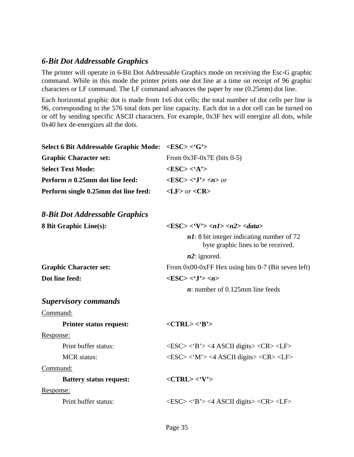### *6-Bit Dot Addressable Graphics*

The printer will operate in 6-Bit Dot Addressable Graphics mode on receiving the Esc-G graphic command. While in this mode the printer prints one dot line at a time on receipt of 96 graphic characters or LF command. The LF command advances the paper by one (0.25mm) dot line.

Each horizontal graphic dot is made from 1x6 dot cells; the total number of dot cells per line is 96, corresponding to the 576 total dots per line capacity. Each dot in a dot cell can be turned on or off by sending specific ASCII characters. For example, 0x3F hex will energize all dots, while 0x40 hex de-energizes all the dots.

| <b>Select 6 Bit Addressable Graphic Mode:</b> | $<$ ESC> $<$ <sup>'</sup> G'>                                                                                  |
|-----------------------------------------------|----------------------------------------------------------------------------------------------------------------|
| <b>Graphic Character set:</b>                 | From $0x3F-0x7E$ (bits 0-5)                                                                                    |
| <b>Select Text Mode:</b>                      | $<$ ESC> $<$ 'A'>                                                                                              |
| Perform <i>n</i> 0.25mm dot line feed:        | $\langle ESC \rangle \langle J' \rangle \langle n \rangle$ or                                                  |
| Perform single 0.25mm dot line feed:          | $\langle$ LF> or $\langle$ CR>                                                                                 |
| 8-Bit Dot Addressable Graphics                |                                                                                                                |
| <b>8 Bit Graphic Line(s):</b>                 | $\langle ESC \rangle \langle V' \rangle \langle n1 \rangle \langle n2 \rangle \langle data \rangle$            |
|                                               | $n!$ : 8 bit integer indicating number of 72<br>byte graphic lines to be received.                             |
|                                               | $n2$ : ignored.                                                                                                |
| <b>Graphic Character set:</b>                 | From $0x00-0xFF$ Hex using bits 0-7 (Bit seven left)                                                           |
| Dot line feed:                                | $<\text{ESC}><\mathbf{J}'>$                                                                                    |
|                                               | $\boldsymbol{n}$ : number of 0.125mm line feeds                                                                |
| <b>Supervisory commands</b>                   |                                                                                                                |
| Command:                                      |                                                                                                                |
| <b>Printer status request:</b>                | $<$ CTRL> $<$ B'>                                                                                              |
| Response:                                     |                                                                                                                |
| Print buffer status:                          | $\langle ESC \rangle \langle B \rangle \rangle \langle 4$ ASCII digits $\langle CR \rangle \langle LF \rangle$ |
| <b>MCR</b> status:                            | $\langle ESC \rangle \langle M' \rangle \langle 4$ ASCII digits $\langle CR \rangle \langle LF \rangle$        |
| Command:                                      |                                                                                                                |
| <b>Battery status request:</b>                | $<$ CTRL> $<$ 'V'>                                                                                             |
| Response:                                     |                                                                                                                |
| Print buffer status:                          | $\langle ESC \rangle \langle B \rangle$ <4 ASCII digits > $\langle CR \rangle \langle LF \rangle$              |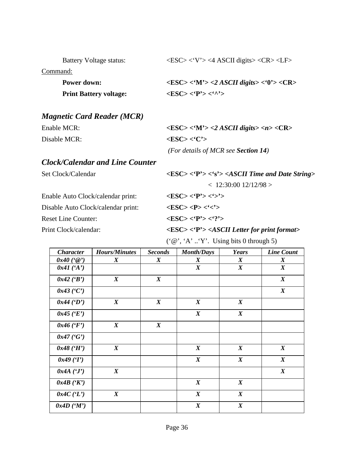|  | <b>Battery Voltage status:</b> |
|--|--------------------------------|
|--|--------------------------------|

Command:

| <b>Power down:</b>            | $\langle ESC \rangle \langle M' \rangle \langle 2 ASCH \text{ digits} \rangle \langle 0' \rangle \langle CR \rangle$ |
|-------------------------------|----------------------------------------------------------------------------------------------------------------------|
| <b>Print Battery voltage:</b> | $<\text{ESC}><\cdot^{\wedge}$                                                                                        |

### *Magnetic Card Reader (MCR)*

Enable MCR:  $\langle \text{ESC} \rangle \langle \text{M'} \rangle \langle \text{2 } \text{ASCH digits} \rangle \langle \text{1} \rangle \langle \text{CR} \rangle$ 

Disable MCR:  $\langle ESC \rangle \langle C' \rangle$ 

### *Clock/Calendar and Line Counter*

Set Clock/Calendar *<ESC>* **<'P'>** <'s'> <*ASCII Time and Date String>* 

 $< 12:30:00$  12/12/98  $>$ Enable Auto Clock/calendar print: **<ESC> <'P'> <'>'>** 

Disable Auto Clock/calendar print:  $\langle ESC \rangle \langle P \rangle \langle \langle \cdot \rangle \rangle$ 

Reset Line Counter:  $\langle ESC \rangle \langle P' \rangle \langle '? \rangle$ 

Print Clock/calendar:  $\langle ESC \rangle \langle P' \rangle \langle ASCII \text{ Letter for print format} \rangle$ 

 $\langle ESC \rangle$   $\langle V' \rangle$   $\langle 4$  ASCII digits $>$   $\langle CR \rangle$   $\langle LF \rangle$ 

 $({\mathcal{C}}\omega', {\mathcal{A}}', \mathcal{C}, \mathcal{C}')$ . Using bits 0 through 5)

*(For details of MCR see Section 14)*

| <b>Character</b> | <b>Hours/Minutes</b> | <b>Seconds</b>   | <b>Month/Days</b> | Years            | <b>Line Count</b> |
|------------------|----------------------|------------------|-------------------|------------------|-------------------|
| $0x40$ (' $@$ ') | $\boldsymbol{X}$     | $\boldsymbol{X}$ | $\boldsymbol{X}$  | $\boldsymbol{X}$ | X                 |
| $0x41$ ('A')     |                      |                  | $\boldsymbol{X}$  | $\boldsymbol{X}$ | $\boldsymbol{X}$  |
| $0x42$ ('B')     | $\boldsymbol{X}$     | $\boldsymbol{X}$ |                   |                  | $\boldsymbol{X}$  |
| $0x43$ ('C')     |                      |                  |                   |                  | $\boldsymbol{X}$  |
| $0x44$ (D')      | $\boldsymbol{X}$     | $\boldsymbol{X}$ | $\boldsymbol{X}$  | $\boldsymbol{X}$ |                   |
| $0x45$ ('E')     |                      |                  | $\boldsymbol{X}$  | $\boldsymbol{X}$ |                   |
| $0x46$ ('F')     | $\boldsymbol{X}$     | $\boldsymbol{X}$ |                   |                  |                   |
| $0x47$ ('G')     |                      |                  |                   |                  |                   |
| $0x48$ ('H')     | $\boldsymbol{X}$     |                  | $\boldsymbol{X}$  | $\boldsymbol{X}$ | $\boldsymbol{X}$  |
| 0x49(T)          |                      |                  | $\boldsymbol{X}$  | $\boldsymbol{X}$ | $\boldsymbol{X}$  |
| 0x4A(T)          | $\boldsymbol{X}$     |                  |                   |                  | $\boldsymbol{X}$  |
| 0x4B(YK)         |                      |                  | $\boldsymbol{X}$  | $\boldsymbol{X}$ |                   |
| 0x4C(T)          | $\boldsymbol{X}$     |                  | $\boldsymbol{X}$  | $\boldsymbol{X}$ |                   |
| 0x4D'(M')        |                      |                  | $\boldsymbol{X}$  | $\boldsymbol{X}$ |                   |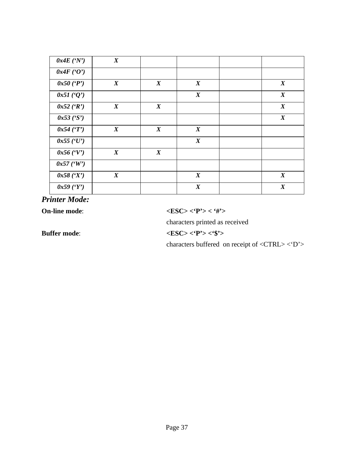| 0x4E(YY)       | $\boldsymbol{X}$ |                  |                  |                  |
|----------------|------------------|------------------|------------------|------------------|
| 0x4F(0')       |                  |                  |                  |                  |
| $0x50$ ( $P$ ) | $\boldsymbol{X}$ | $\boldsymbol{X}$ | $\boldsymbol{X}$ | $\boldsymbol{X}$ |
| 0x51(0')       |                  |                  | $\boldsymbol{X}$ | $\boldsymbol{X}$ |
| $0x52$ ('R')   | $\boldsymbol{X}$ | $\boldsymbol{X}$ |                  | $\boldsymbol{X}$ |
| 0x53 (S')      |                  |                  |                  | $\boldsymbol{X}$ |
| 0x54(T)        | $\boldsymbol{X}$ | $\boldsymbol{X}$ | $\boldsymbol{X}$ |                  |
| $0x55$ ('U')   |                  |                  | $\boldsymbol{X}$ |                  |
| $0x56$ ('V')   | $\boldsymbol{X}$ | $\boldsymbol{X}$ |                  |                  |
| $0x57$ ('W')   |                  |                  |                  |                  |
| $0x58$ $(Y)$   | $\boldsymbol{X}$ |                  | $\boldsymbol{X}$ | $\boldsymbol{X}$ |
| $0x59$ ('Y')   |                  |                  | $\boldsymbol{X}$ | $\boldsymbol{X}$ |

*Printer Mode:*

**On-line mode**: **<ESC> <'P'> < '#'>**

characters printed as received

**Buffer mode**: **<ESC> <'P'> <'\$'>**

characters buffered on receipt of <CTRL> <'D'>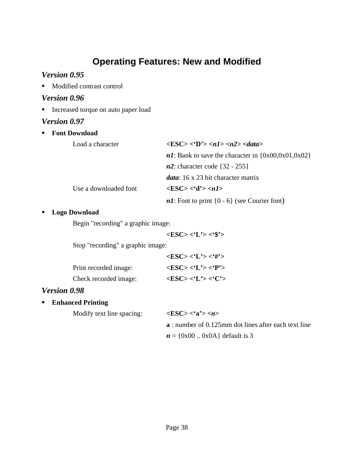### **Operating Features: New and Modified**

### *Version 0.95*

■ Modified contrast control

### *Version 0.96*

**Increased torque on auto paper load** 

### *Version 0.97*

| $\blacksquare$ . | <b>Font Download</b>  |                                                                                                    |
|------------------|-----------------------|----------------------------------------------------------------------------------------------------|
|                  | Load a character      | $\langle ESC \rangle \langle D \rangle \langle n1 \rangle \langle n2 \rangle \langle data \rangle$ |
|                  |                       | <i>n1</i> : Bank to save the character in $\{0x00, 0x01, 0x02\}$                                   |
|                  |                       | $n2$ : character code {32 - 255}                                                                   |
|                  |                       | <i>data</i> : 16 x 23 bit character matrix                                                         |
|                  | Use a downloaded font | $\langle ESC \rangle \langle d' \rangle \langle n1 \rangle$                                        |
|                  |                       | $n!$ : Font to print $\{0 - 6\}$ (see Courier font)                                                |

#### ß **Logo Download**

Begin "recording" a graphic image:

**<ESC> <'L'> <'\$'>**

Stop "recording" a graphic image:

|                       | $\langle ESC \rangle \langle L' \rangle \langle H' \rangle$ |
|-----------------------|-------------------------------------------------------------|
| Print recorded image: | $<\text{ESC}>>\text{'L'}>>\text{'P'}>$                      |
| Check recorded image: | $\langle ESC \rangle \langle L' \rangle \langle C' \rangle$ |

### *Version 0.98*

ß **Enhanced Printing**

Modify text line spacing: **<ESC> <'a'> <***n***>**

# **a** : number of 0.125mm dot lines after each text line  $n = \{0x00..0x0A\}$  default is 3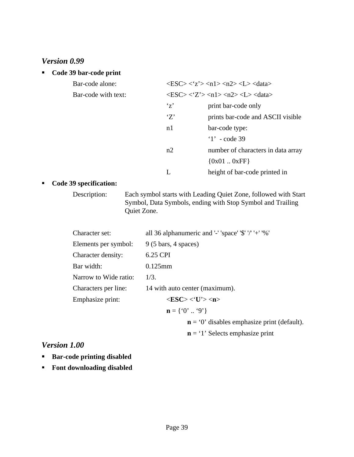### *Version 0.99*

#### ß **Code 39 bar-code print**

| Bar-code alone:     |                | $\langle ESC \rangle \langle Z' \rangle \langle n1 \rangle \langle n2 \rangle \langle L \rangle \langle data \rangle$ |
|---------------------|----------------|-----------------------------------------------------------------------------------------------------------------------|
| Bar-code with text: |                | $\langle ESC \rangle \langle Z' \rangle \langle n1 \rangle \langle n2 \rangle \langle L \rangle \langle data \rangle$ |
|                     | $\mathbf{z}'$  | print bar-code only                                                                                                   |
|                     | Z'             | prints bar-code and ASCII visible                                                                                     |
|                     | n <sub>1</sub> | bar-code type:                                                                                                        |
|                     |                | $1'$ - code 39                                                                                                        |
|                     | n2             | number of characters in data array                                                                                    |
|                     |                | ${0x010xFF}$                                                                                                          |
|                     | L              | height of bar-code printed in                                                                                         |

#### ß **Code 39 specification:**

Description: Each symbol starts with Leading Quiet Zone, followed with Start Symbol, Data Symbols, ending with Stop Symbol and Trailing Quiet Zone.

| Character set:        | all 36 alphanumeric and '-' 'space' '\$' '/' '+' '%'        |
|-----------------------|-------------------------------------------------------------|
| Elements per symbol:  | $9(5 \text{ bars}, 4 \text{ spaces})$                       |
| Character density:    | 6.25 CPI                                                    |
| Bar width:            | $0.125$ mm                                                  |
| Narrow to Wide ratio: | 1/3.                                                        |
| Characters per line:  | 14 with auto center (maximum).                              |
| Emphasize print:      | $\langle ESC \rangle \langle 'U' \rangle \langle n \rangle$ |
|                       | $n = \{0, 0, 0\}$                                           |
|                       | $\mathbf{n} = 0$ ' disables emphasize print (default).      |

### **n** = '1' Selects emphasize print

### *Version 1.00*

- **ß Bar-code printing disabled**
- **Font downloading disabled**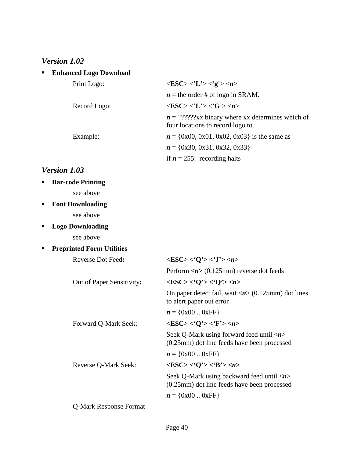### *Version 1.02*

| <b>Enhanced Logo Download</b> |                                                                                        |
|-------------------------------|----------------------------------------------------------------------------------------|
| Print Logo:                   | $\langle ESC \rangle \langle L' \rangle \langle g' \rangle \langle n \rangle$          |
|                               | $n =$ the order # of logo in SRAM.                                                     |
| Record Logo:                  | $\langle ESC \rangle \langle L' \rangle \langle G' \rangle \langle n \rangle$          |
|                               | $n = ?????Xx binary where xx determines which of$<br>four locations to record logo to. |
| Example:                      | $n = \{0x00, 0x01, 0x02, 0x03\}$ is the same as                                        |
|                               | $n = \{0x30, 0x31, 0x32, 0x33\}$                                                       |
|                               | if $n = 255$ : recording halts                                                         |

### *Version 1.03*

| <b>Bar-code Printing</b> |
|--------------------------|
| see above                |

- **ß Font Downloading** see above
- ß **Logo Downloading**

see above

### **FIFER PREPRINTED FORM** Utilities

| Reverse Dot Feed:         | $\langle ESC \rangle \langle 'Q' \rangle \langle 'J' \rangle \langle n \rangle$                                   |
|---------------------------|-------------------------------------------------------------------------------------------------------------------|
|                           | Perform $\langle n \rangle$ (0.125mm) reverse dot feeds                                                           |
| Out of Paper Sensitivity: | $\langle ESC \rangle \langle 0 \rangle \rangle \langle 0 \rangle \rangle \langle n \rangle$                       |
|                           | On paper detect fail, wait $\langle n \rangle$ (0.125mm) dot lines<br>to alert paper out error                    |
|                           | $n = \{0x000xFF\}$                                                                                                |
| Forward Q-Mark Seek:      | $<\!\!{\rm ESC}\!\!><\!\!{\rm O'}\!\!><\!\!{\rm F'}\!\!><\!\!n\!\!>$                                              |
|                           | Seek Q-Mark using forward feed until $\langle n \rangle$<br>$(0.25 \text{mm})$ dot line feeds have been processed |
|                           | $n = \{0x000xFF\}$                                                                                                |
| Reverse Q-Mark Seek:      | $\langle ESC \rangle \langle 'Q' \rangle \langle 'B' \rangle \langle n \rangle$                                   |
|                           | Seek Q-Mark using backward feed until $\langle n \rangle$<br>(0.25mm) dot line feeds have been processed          |
|                           | $n = \{0x000xFF\}$                                                                                                |
| Q-Mark Response Format    |                                                                                                                   |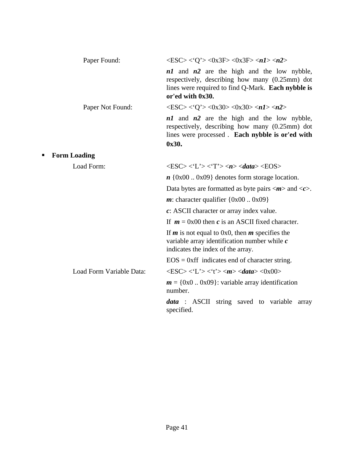| Paper Found:             | $\langle ESC \rangle \langle Q' \rangle \langle 0x3F \rangle \langle 0x3F \rangle \langle n1 \rangle \langle n2 \rangle$                                                   |
|--------------------------|----------------------------------------------------------------------------------------------------------------------------------------------------------------------------|
|                          | $n1$ and $n2$ are the high and the low nybble,<br>respectively, describing how many (0.25mm) dot<br>lines were required to find Q-Mark. Each nybble is<br>or'ed with 0x30. |
| Paper Not Found:         | $\langle ESC \rangle \langle Q' \rangle \langle 0x30 \rangle \langle 0x30 \rangle \langle n1 \rangle \langle n2 \rangle$                                                   |
|                          | $n1$ and $n2$ are the high and the low nybble,<br>respectively, describing how many (0.25mm) dot<br>lines were processed. Each nybble is or'ed with<br>0x30.               |
| <b>Form Loading</b><br>п |                                                                                                                                                                            |
| Load Form:               | $\langle ESC \rangle \langle 'L' \rangle \langle 'T' \rangle \langle n \rangle \langle data \rangle \langle EOS \rangle$                                                   |
|                          | $n \{0x000x09\}$ denotes form storage location.                                                                                                                            |
|                          | Data bytes are formatted as byte pairs $\langle m \rangle$ and $\langle c \rangle$ .                                                                                       |
|                          | $m$ : character qualifier {0x00  0x09}                                                                                                                                     |
|                          | $c: ASCII$ character or array index value.                                                                                                                                 |
|                          | If $m = 0x00$ then c is an ASCII fixed character.                                                                                                                          |
|                          | If $m$ is not equal to 0x0, then $m$ specifies the<br>variable array identification number while $c$<br>indicates the index of the array.                                  |
|                          | $EOS = 0$ xff indicates end of character string.                                                                                                                           |
| Load Form Variable Data: | $\langle ESC \rangle \langle L' \rangle \langle t' \rangle \langle m \rangle \langle data \rangle \langle 0x00 \rangle$                                                    |
|                          | $m = \{0x00x09\}$ : variable array identification<br>number.                                                                                                               |
|                          | <i>data</i> : ASCII string saved to variable array<br>specified.                                                                                                           |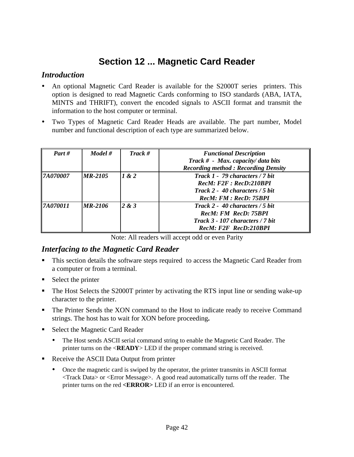### **Section 12 ... Magnetic Card Reader**

### *Introduction*

- ü An optional Magnetic Card Reader is available for the S2000T series printers. This option is designed to read Magnetic Cards conforming to ISO standards (ABA, IATA, MINTS and THRIFT), convert the encoded signals to ASCII format and transmit the information to the host computer or terminal.
- ü Two Types of Magnetic Card Reader Heads are available. The part number, Model number and functional description of each type are summarized below.

| Part #          | Model #   | Track # | <b>Functional Description</b><br>Track # - Max. capacity/ data bits<br><b>Recording method: Recording Density</b>              |
|-----------------|-----------|---------|--------------------------------------------------------------------------------------------------------------------------------|
| <b>7A070007</b> | $MR-2105$ | 1 & 2   | Track 1 - 79 characters / 7 bit<br>RecM: F2F: RecD:210BPI<br>Track 2 - 40 characters / 5 bit<br>RecM: FM : RecD: 75BPI         |
| <b>7A070011</b> | $MR-2106$ | 2 & 3   | Track 2 - 40 characters $/5$ bit<br><b>RecM: FM RecD: 75BPI</b><br>Track $3 - 107$ characters / 7 bit<br>RecM: F2F RecD:210BPI |

Note: All readers will accept odd or even Parity

### *Interfacing to the Magnetic Card Reader*

- **This section details the software steps required to access the Magnetic Card Reader from** a computer or from a terminal.
- $\blacksquare$  Select the printer
- The Host Selects the S2000T printer by activating the RTS input line or sending wake-up character to the printer.
- The Printer Sends the XON command to the Host to indicate ready to receive Command strings. The host has to wait for XON before proceeding**.**
- Select the Magnetic Card Reader
	- ü The Host sends ASCII serial command string to enable the Magnetic Card Reader. The printer turns on the <**READY**> LED if the proper command string is received.
- Receive the ASCII Data Output from printer
	- ü Once the magnetic card is swiped by the operator, the printer transmits in ASCII format <Track Data> or <Error Message>. A good read automatically turns off the reader. The printer turns on the red **<ERROR>** LED if an error is encountered.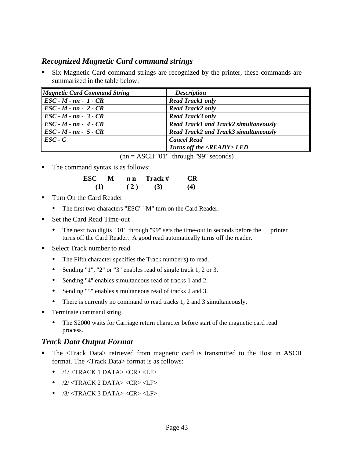### *Recognized Magnetic Card command strings*

ß Six Magnetic Card command strings are recognized by the printer, these commands are summarized in the table below:

| <b>Magnetic Card Command String</b> | <b>Description</b>                           |
|-------------------------------------|----------------------------------------------|
| $\parallel$ ESC - M - nn - 1 - CR   | <b>Read Track1 only</b>                      |
| $\parallel$ ESC - M - nn - 2 - CR   | <b>Read Track2 only</b>                      |
| $\parallel$ ESC - M - nn - 3 - CR   | <b>Read Track3 only</b>                      |
| $\parallel$ ESC - M - nn - 4 - CR   | <b>Read Track1 and Track2 simultaneously</b> |
| $\parallel$ ESC - M - nn - 5 - CR   | <b>Read Track2 and Track3 simultaneously</b> |
| $\parallel$ ESC - C                 | <b>Cancel Read</b>                           |
|                                     | Turns off the <ready> LED</ready>            |

| $(nn = ASCII "01" through "99" seconds)$ |  |  |
|------------------------------------------|--|--|
|------------------------------------------|--|--|

• The command syntax is as follows:

| ESC 3 | M |     | nn Track# | CR  |
|-------|---|-----|-----------|-----|
|       |   | (2) | (3)       | (4) |

- ß Turn On the Card Reader
	- The first two characters "ESC" "M" turn on the Card Reader.
- Set the Card Read Time-out
	- The next two digits "01" through "99" sets the time-out in seconds before the printer turns off the Card Reader. A good read automatically turns off the reader.
- Select Track number to read
	- The Fifth character specifies the Track number's) to read.
	- Sending "1", "2" or "3" enables read of single track 1, 2 or 3.
	- Sending "4" enables simultaneous read of tracks 1 and 2.
	- Sending "5" enables simultaneous read of tracks 2 and 3.
	- There is currently no command to read tracks 1, 2 and 3 simultaneously.
- Terminate command string
	- The S2000 waits for Carriage return character before start of the magnetic card read process.

### *Track Data Output Format*

- ß The <Track Data> retrieved from magnetic card is transmitted to the Host in ASCII format. The <Track Data> format is as follows:
	- $\bullet$  /1/ <TRACK 1 DATA> <CR> <LF>
	- $\bullet$  /2/ <TRACK 2 DATA> <CR> <LF>
	- $\bullet$  /3/ <TRACK 3 DATA> <CR> <LF>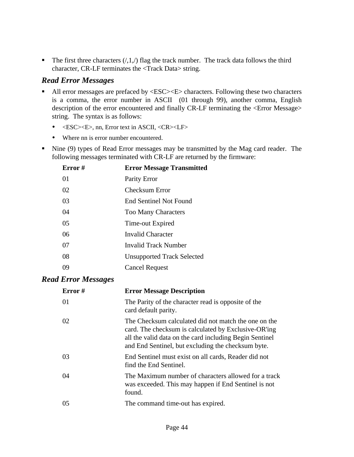The first three characters  $(1,1,1)$  flag the track number. The track data follows the third character, CR-LF terminates the <Track Data> string.

### *Read Error Messages*

- All error messages are prefaced by <ESC><E> characters. Following these two characters is a comma, the error number in ASCII (01 through 99), another comma, English description of the error encountered and finally CR-LF terminating the <Error Message> string. The syntax is as follows:
	- $\bullet \quad \leq ESC \leq E$ , nn, Error text in ASCII,  $\leq$ CR $>$ LF $>$
	- Where nn is error number encountered.
- Kine (9) types of Read Error messages may be transmitted by the Mag card reader. The following messages terminated with CR-LF are returned by the firmware:

| Error $#$ | <b>Error Message Transmitted</b>  |
|-----------|-----------------------------------|
| 01        | Parity Error                      |
| 02        | <b>Checksum Error</b>             |
| 03        | <b>End Sentinel Not Found</b>     |
| 04        | <b>Too Many Characters</b>        |
| 05        | Time-out Expired                  |
| 06        | <b>Invalid Character</b>          |
| 07        | Invalid Track Number              |
| 08        | <b>Unsupported Track Selected</b> |
| 09        | <b>Cancel Request</b>             |

### *Read Error Messages*

| Error# | <b>Error Message Description</b>                                                                                                                                                                                              |
|--------|-------------------------------------------------------------------------------------------------------------------------------------------------------------------------------------------------------------------------------|
| 01     | The Parity of the character read is opposite of the<br>card default parity.                                                                                                                                                   |
| 02     | The Checksum calculated did not match the one on the<br>card. The checksum is calculated by Exclusive-OR'ing<br>all the valid data on the card including Begin Sentinel<br>and End Sentinel, but excluding the checksum byte. |
| 03     | End Sentinel must exist on all cards, Reader did not<br>find the End Sentinel.                                                                                                                                                |
| 04     | The Maximum number of characters allowed for a track<br>was exceeded. This may happen if End Sentinel is not<br>found.                                                                                                        |
| 05     | The command time-out has expired.                                                                                                                                                                                             |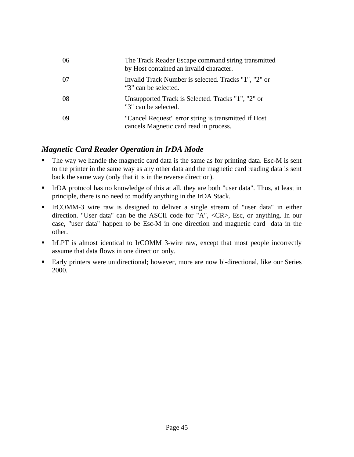| 06  | The Track Reader Escape command string transmitted<br>by Host contained an invalid character.  |
|-----|------------------------------------------------------------------------------------------------|
| -07 | Invalid Track Number is selected. Tracks "1", "2" or<br>"3" can be selected.                   |
| 08  | Unsupported Track is Selected. Tracks "1", "2" or<br>"3" can be selected.                      |
| -09 | "Cancel Request" error string is transmitted if Host<br>cancels Magnetic card read in process. |

### *Magnetic Card Reader Operation in IrDA Mode*

- The way we handle the magnetic card data is the same as for printing data. Esc-M is sent to the printer in the same way as any other data and the magnetic card reading data is sent back the same way (only that it is in the reverse direction).
- **III** IrDA protocol has no knowledge of this at all, they are both "user data". Thus, at least in principle, there is no need to modify anything in the IrDA Stack.
- ß IrCOMM-3 wire raw is designed to deliver a single stream of "user data" in either direction. "User data" can be the ASCII code for "A", <CR>, Esc, or anything. In our case, "user data" happen to be Esc-M in one direction and magnetic card data in the other.
- **III.** IrLPT is almost identical to IrCOMM 3-wire raw, except that most people incorrectly assume that data flows in one direction only.
- **Early printers were unidirectional; however, more are now bi-directional, like our Series** 2000.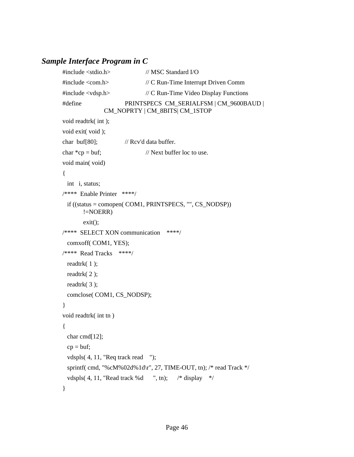### *Sample Interface Program in C*

```
#include <stdio.h> // MSC Standard I/O
#include <com.h> // C Run-Time Interrupt Driven Comm
#include <vdsp.h> // C Run-Time Video Display Functions
#define PRINTSPECS CM_SERIALFSM | CM_9600BAUD | 
              CM_NOPRTY | CM_8BITS| CM_1STOP
void readtrk( int );
void exit( void );
char buf[80]; // Rcv'd data buffer.
char *cp = but; // Next buffer loc to use.
void main( void)
{
  int i, status;
/**** Enable Printer ****/ 
  if ((status = comopen( COM1, PRINTSPECS, "", CS_NODSP)) 
       !=NOERR)
        exit(); 
/**** SELECT XON communication ****/
  comxoff( COM1, YES);
/**** Read Tracks ****/
  readtrk( 1 );
  readtrk( 2 );
  readtrk( 3 );
  comclose( COM1, CS_NODSP);
}
void readtrk( int tn )
{
  char cmd[12];
 cp = but; vdspls( 4, 11, "Req track read "); 
  sprintf( cmd, "%cM%02d%1d\r", 27, TIME-OUT, tn); /* read Track */
 vdspls( 4, 11, "Read track %d ", tn); \frac{\text{#}}{\text{#}} display */
}
```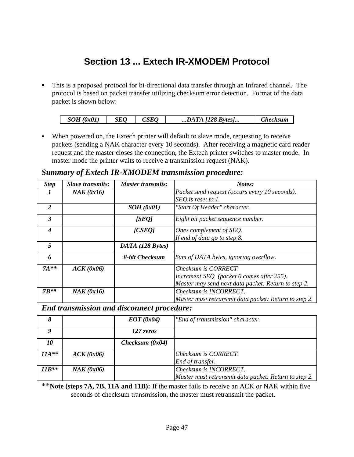### **Section 13 ... Extech IR-XMODEM Protocol**

 $\blacksquare$  This is a proposed protocol for bi-directional data transfer through an Infrared channel. The protocol is based on packet transfer utilizing checksum error detection. Format of the data packet is shown below:

| $dx\theta^T$<br>$\overline{\mathcal{U}}$<br>$\cdot$ . | 5EL.<br>__ | . | Svtes<br>Δ<br>$\prime$<br>$\overline{\phantom{a}}$<br>$\cdots$<br>---<br>. |  |
|-------------------------------------------------------|------------|---|----------------------------------------------------------------------------|--|

When powered on, the Extech printer will default to slave mode, requesting to receive packets (sending a NAK character every 10 seconds). After receiving a magnetic card reader request and the master closes the connection, the Extech printer switches to master mode. In master mode the printer waits to receive a transmission request (NAK).

### *Summary of Extech IR-XMODEM transmission procedure:*

| <b>Step</b>    | <b>Slave transmits:</b> | <b>Master transmits:</b> | Notes:                                                |
|----------------|-------------------------|--------------------------|-------------------------------------------------------|
|                | NAK (0x16)              |                          | Packet send request (occurs every 10 seconds).        |
|                |                         |                          | SEQ is reset to 1.                                    |
| $\overline{2}$ |                         | SOH(0x01)                | "Start Of Header" character.                          |
| 3              |                         | [SEQ]                    | Eight bit packet sequence number.                     |
| 4              |                         | [CSEO]                   | Ones complement of SEQ.                               |
|                |                         |                          | If end of data go to step 8.                          |
| 5              |                         | DATA (128 Bytes)         |                                                       |
| 6              |                         | 8-bit Checksum           | Sum of DATA bytes, ignoring overflow.                 |
| $7A**$         | ACK(0x06)               |                          | Checksum is CORRECT.                                  |
|                |                         |                          | Increment SEQ (packet 0 comes after 255).             |
|                |                         |                          | Master may send next data packet: Return to step 2.   |
| $7R**$         | NAK (0x16)              |                          | Checksum is INCORRECT.                                |
|                |                         |                          | Master must retransmit data packet: Return to step 2. |

### *End transmission and disconnect procedure:*

|         |            | EOT(0x04)         | "End of transmission" character.                      |
|---------|------------|-------------------|-------------------------------------------------------|
|         |            | 127 zeros         |                                                       |
| 10      |            | Checksum $(0x04)$ |                                                       |
| $11A**$ | ACK(0x06)  |                   | Checksum is CORRECT.                                  |
|         |            |                   | End of transfer.                                      |
| $11B**$ | NAK (0x06) |                   | Checksum is INCORRECT.                                |
|         |            |                   | Master must retransmit data packet: Return to step 2. |

\*\***Note (steps 7A, 7B, 11A and 11B):** If the master fails to receive an ACK or NAK within five seconds of checksum transmission, the master must retransmit the packet.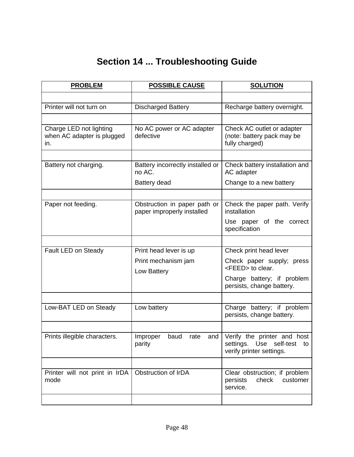## **Section 14 ... Troubleshooting Guide**

| <b>PROBLEM</b>                                               | <b>POSSIBLE CAUSE</b>                                      | <b>SOLUTION</b>                                                                          |
|--------------------------------------------------------------|------------------------------------------------------------|------------------------------------------------------------------------------------------|
|                                                              |                                                            |                                                                                          |
| Printer will not turn on                                     | <b>Discharged Battery</b>                                  | Recharge battery overnight.                                                              |
|                                                              |                                                            |                                                                                          |
| Charge LED not lighting<br>when AC adapter is plugged<br>in. | No AC power or AC adapter<br>defective                     | Check AC outlet or adapter<br>(note: battery pack may be<br>fully charged)               |
|                                                              |                                                            |                                                                                          |
| Battery not charging.                                        | Battery incorrectly installed or<br>no AC.                 | Check battery installation and<br>AC adapter                                             |
|                                                              | Battery dead                                               | Change to a new battery                                                                  |
|                                                              |                                                            |                                                                                          |
| Paper not feeding.                                           | Obstruction in paper path or<br>paper improperly installed | Check the paper path. Verify<br>installation                                             |
|                                                              |                                                            | Use paper of the correct<br>specification                                                |
|                                                              |                                                            |                                                                                          |
| Fault LED on Steady                                          | Print head lever is up                                     | Check print head lever                                                                   |
|                                                              | Print mechanism jam<br>Low Battery                         | Check paper supply; press<br><feed> to clear.</feed>                                     |
|                                                              |                                                            | Charge battery; if problem<br>persists, change battery.                                  |
|                                                              |                                                            |                                                                                          |
| Low-BAT LED on Steady                                        | Low battery                                                | Charge battery; if problem<br>persists, change battery.                                  |
|                                                              |                                                            |                                                                                          |
| Prints illegible characters.                                 | and<br>Improper<br>baud<br>rate<br>parity                  | Verify the printer and host<br>settings. Use self-test<br>to<br>verify printer settings. |
|                                                              |                                                            |                                                                                          |
| Printer will not print in IrDA<br>mode                       | Obstruction of IrDA                                        | Clear obstruction; if problem<br>check<br>persists<br>customer<br>service.               |
|                                                              |                                                            |                                                                                          |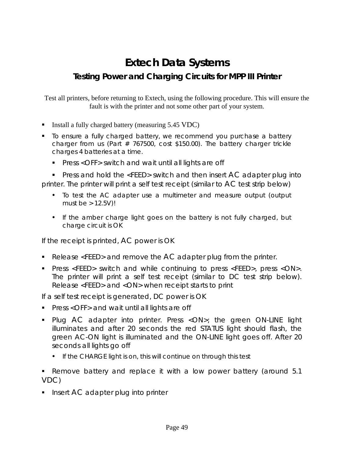# **Extech Data Systems**

### **Testing Power and Charging Circuits for MPP III Printer**

Test all printers, before returning to Extech, using the following procedure. This will ensure the fault is with the printer and not some other part of your system.

- **I** Install a fully charged battery (measuring  $5.45 \text{ VDC}$ )
- To ensure a fully charged battery, we recommend you purchase a battery charger from us (Part  $# 767500$ , cost \$150.00). The battery charger trickle charges 4 batteries at a time.
	- **Press <OFF> switch and wait until all lights are off**

**•** Press and hold the <FEED> switch and then insert AC adapter plug into printer. The printer will print a self test receipt (similar to AC test strip below)

- To test the AC adapter use a multimeter and measure output (output must be  $> 12.5V$ )!
- If the amber charge light goes on the battery is not fully charged, but charge circuit is OK

*If the receipt is printed, AC power is OK*

- Release <FEED> and remove the AC adapter plug from the printer.
- **Press <FEED>** switch and while continuing to press <FEED>, press <ON>. The printer will print a self test receipt (similar to DC test strip below). Release <FEED> and <ON> when receipt starts to print

*If a self test receipt is generated, DC power is OK*

- **Press <OFF> and wait until all lights are off**
- Plug AC adapter into printer. Press <ON>; the green ON-LINE light illuminates and after 20 seconds the red STATUS light should flash, the green AC-ON light is illuminated and the ON-LINE light goes off. After 20 seconds all lights go off
	- If the CHARGE light is on, this will continue on through this test
- Remove battery and replace it with a low power battery (around 5.1) VDC)
- **If** Insert AC adapter plug into printer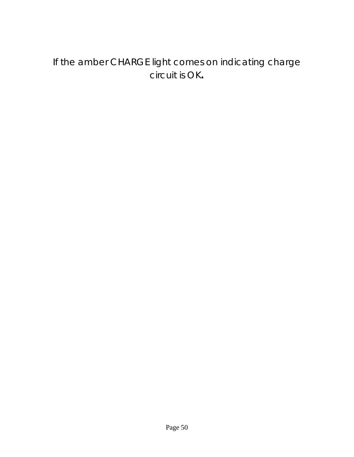### If the amber CHARGE light comes on indicating charge circuit is OK**.**